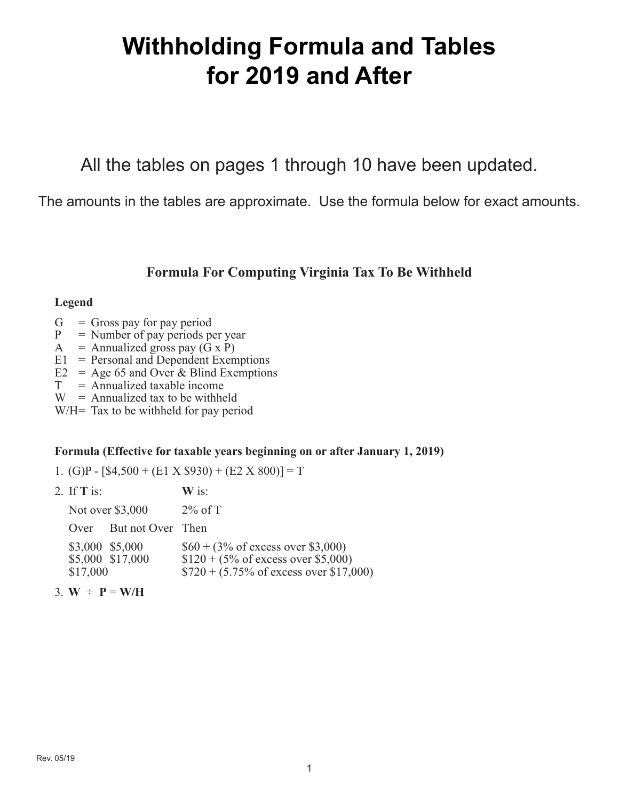# **Withholding Formula and Tables for 2019 and After**

All the tables on pages 1 through 10 have been updated.

The amounts in the tables are approximate. Use the formula below for exact amounts.

## **Formula For Computing Virginia Tax To Be Withheld**

### **Legend**

- $G =$  Gross pay for pay period
- $P =$  Number of pay periods per year
- A = Annualized gross pay  $(G \times P)$
- E1 = Personal and Dependent Exemptions
- E2 = Age 65 and Over & Blind Exemptions
- $T =$  Annualized taxable income
- $W =$  Annualized tax to be withheld

W/H= Tax to be withheld for pay period

## **Formula (Effective for taxable years beginning on or after January 1, 2019)**

1. (G)P -  $[$4,500 + (E1 \times $930) + (E2 \times 800)] = T$ 

| 2. If $\mathbf T$ is:       |                        | $\bf{W}$ is:                                                                                                                                       |
|-----------------------------|------------------------|----------------------------------------------------------------------------------------------------------------------------------------------------|
|                             | Not over \$3,000       | $2\%$ of T                                                                                                                                         |
|                             | Over But not Over Then |                                                                                                                                                    |
| \$3,000 \$5,000<br>\$17,000 | \$5,000 \$17,000       | $$60 + (3\% \text{ of excess over } $3,000)$<br>$$120 + (5\% \text{ of excess over } $5,000)$<br>$$720 + (5.75\% \text{ of excess over } $17,000)$ |
|                             |                        |                                                                                                                                                    |

3.  $W \div P = W/H$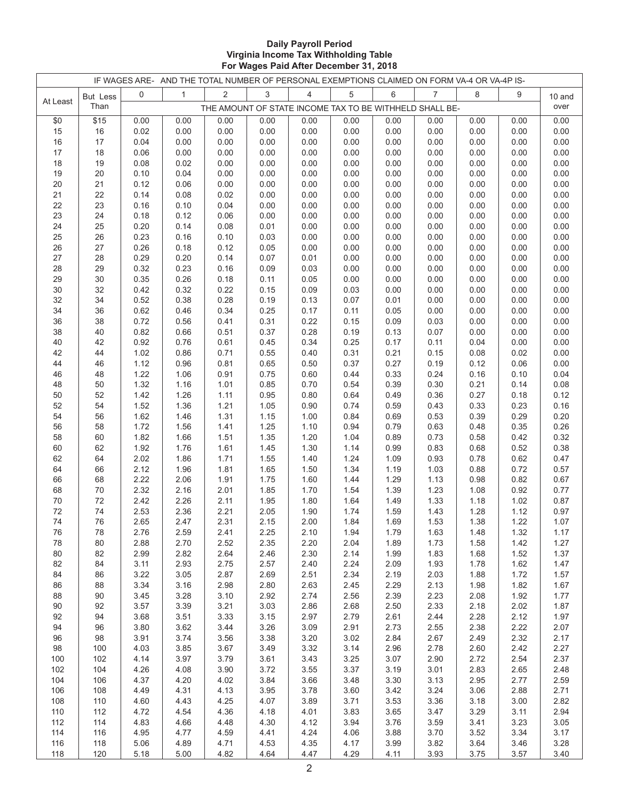#### **Daily Payroll Period Virginia Income Tax Withholding Table For Wages Paid After December 31, 2018**

|          |          |              | IF WAGES ARE- AND THE TOTAL NUMBER OF PERSONAL EXEMPTIONS CLAIMED ON FORM VA-4 OR VA-4P IS- |                |              |                |                                                         |              |                |              |              |              |
|----------|----------|--------------|---------------------------------------------------------------------------------------------|----------------|--------------|----------------|---------------------------------------------------------|--------------|----------------|--------------|--------------|--------------|
|          | But Less | 0            | $\mathbf{1}$                                                                                | $\overline{2}$ | 3            | $\overline{4}$ | 5                                                       | 6            | $\overline{7}$ | 8            | 9            | 10 and       |
| At Least | Than     |              |                                                                                             |                |              |                | THE AMOUNT OF STATE INCOME TAX TO BE WITHHELD SHALL BE- |              |                |              |              | over         |
| \$0      | \$15     | 0.00         | 0.00                                                                                        | 0.00           | 0.00         | 0.00           | 0.00                                                    | 0.00         | 0.00           | 0.00         | 0.00         | 0.00         |
| 15       | 16       | 0.02         | 0.00                                                                                        | 0.00           | 0.00         | 0.00           | 0.00                                                    | 0.00         | 0.00           | 0.00         | 0.00         | 0.00         |
| 16       | 17       | 0.04         | 0.00                                                                                        | 0.00           | 0.00         | 0.00           | 0.00                                                    | 0.00         | 0.00           | 0.00         | 0.00         | 0.00         |
| 17       | 18       | 0.06         | 0.00                                                                                        | 0.00           | 0.00         | 0.00           | 0.00                                                    | 0.00         | 0.00           | 0.00         | 0.00         | 0.00         |
| 18       | 19       | 0.08         | 0.02                                                                                        | 0.00           | 0.00         | 0.00           | 0.00                                                    | 0.00         | 0.00           | 0.00         | 0.00         | 0.00         |
| 19       | 20       | 0.10         | 0.04                                                                                        | 0.00           | 0.00         | 0.00           | 0.00                                                    | 0.00         | 0.00           | 0.00         | 0.00         | 0.00         |
| 20       | 21       | 0.12         | 0.06                                                                                        | 0.00           | 0.00         | 0.00           | 0.00                                                    | 0.00         | 0.00           | 0.00         | 0.00         | 0.00         |
| 21       | 22       | 0.14         | 0.08                                                                                        | 0.02           | 0.00         | 0.00           | 0.00                                                    | 0.00         | 0.00           | 0.00         | 0.00         | 0.00         |
| 22       | 23       | 0.16         | 0.10                                                                                        | 0.04           | 0.00         | 0.00           | 0.00                                                    | 0.00         | 0.00           | 0.00         | 0.00         | 0.00         |
| 23       | 24       | 0.18         | 0.12                                                                                        | 0.06           | 0.00         | 0.00           | 0.00                                                    | 0.00         | 0.00           | 0.00         | 0.00         | 0.00         |
| 24       | 25       | 0.20         | 0.14                                                                                        | 0.08           | 0.01         | 0.00           | 0.00                                                    | 0.00         | 0.00           | 0.00         | 0.00         | 0.00         |
| 25       | 26       | 0.23         | 0.16                                                                                        | 0.10           | 0.03         | 0.00           | 0.00                                                    | 0.00         | 0.00           | 0.00         | 0.00         | 0.00         |
| 26       | 27       | 0.26         | 0.18                                                                                        | 0.12           | 0.05         | 0.00           | 0.00                                                    | 0.00         | 0.00           | 0.00         | 0.00         | 0.00         |
| 27       | 28       | 0.29         | 0.20                                                                                        | 0.14           | 0.07         | 0.01           | 0.00                                                    | 0.00         | 0.00           | 0.00         | 0.00         | 0.00         |
| 28       | 29       | 0.32         | 0.23                                                                                        | 0.16           | 0.09         | 0.03           | 0.00                                                    | 0.00         | 0.00           | 0.00         | 0.00         | 0.00         |
| 29       | 30       | 0.35         | 0.26                                                                                        | 0.18           | 0.11         | 0.05           | 0.00                                                    | 0.00         | 0.00           | 0.00         | 0.00         | 0.00         |
| 30       | 32       | 0.42         | 0.32                                                                                        | 0.22           | 0.15         | 0.09           | 0.03                                                    | 0.00         | 0.00           | 0.00         | 0.00         | 0.00         |
| 32       | 34       | 0.52         | 0.38                                                                                        | 0.28           | 0.19         | 0.13           | 0.07                                                    | 0.01         | 0.00           | 0.00         | 0.00         | 0.00         |
| 34       | 36       | 0.62         | 0.46                                                                                        | 0.34           | 0.25         | 0.17           | 0.11                                                    | 0.05         | 0.00           | 0.00         | 0.00         | 0.00         |
| 36       | 38       | 0.72         | 0.56                                                                                        | 0.41           | 0.31         | 0.22           | 0.15                                                    | 0.09         | 0.03           | 0.00         | 0.00         | 0.00         |
| 38       | 40       | 0.82         | 0.66                                                                                        | 0.51           | 0.37         | 0.28           | 0.19                                                    | 0.13         | 0.07           | 0.00         | 0.00         | 0.00         |
| 40       | 42       | 0.92         | 0.76                                                                                        | 0.61           | 0.45         | 0.34           | 0.25                                                    | 0.17         | 0.11           | 0.04         | 0.00         | 0.00         |
| 42<br>44 | 44<br>46 | 1.02<br>1.12 | 0.86<br>0.96                                                                                | 0.71<br>0.81   | 0.55<br>0.65 | 0.40<br>0.50   | 0.31<br>0.37                                            | 0.21<br>0.27 | 0.15<br>0.19   | 0.08<br>0.12 | 0.02<br>0.06 | 0.00<br>0.00 |
| 46       | 48       | 1.22         | 1.06                                                                                        | 0.91           | 0.75         | 0.60           | 0.44                                                    | 0.33         | 0.24           | 0.16         | 0.10         | 0.04         |
| 48       | 50       | 1.32         | 1.16                                                                                        | 1.01           | 0.85         | 0.70           | 0.54                                                    | 0.39         | 0.30           | 0.21         | 0.14         | 0.08         |
| 50       | 52       | 1.42         | 1.26                                                                                        | 1.11           | 0.95         | 0.80           | 0.64                                                    | 0.49         | 0.36           | 0.27         | 0.18         | 0.12         |
| 52       | 54       | 1.52         | 1.36                                                                                        | 1.21           | 1.05         | 0.90           | 0.74                                                    | 0.59         | 0.43           | 0.33         | 0.23         | 0.16         |
| 54       | 56       | 1.62         | 1.46                                                                                        | 1.31           | 1.15         | 1.00           | 0.84                                                    | 0.69         | 0.53           | 0.39         | 0.29         | 0.20         |
| 56       | 58       | 1.72         | 1.56                                                                                        | 1.41           | 1.25         | 1.10           | 0.94                                                    | 0.79         | 0.63           | 0.48         | 0.35         | 0.26         |
| 58       | 60       | 1.82         | 1.66                                                                                        | 1.51           | 1.35         | 1.20           | 1.04                                                    | 0.89         | 0.73           | 0.58         | 0.42         | 0.32         |
| 60       | 62       | 1.92         | 1.76                                                                                        | 1.61           | 1.45         | 1.30           | 1.14                                                    | 0.99         | 0.83           | 0.68         | 0.52         | 0.38         |
| 62       | 64       | 2.02         | 1.86                                                                                        | 1.71           | 1.55         | 1.40           | 1.24                                                    | 1.09         | 0.93           | 0.78         | 0.62         | 0.47         |
| 64       | 66       | 2.12         | 1.96                                                                                        | 1.81           | 1.65         | 1.50           | 1.34                                                    | 1.19         | 1.03           | 0.88         | 0.72         | 0.57         |
| 66       | 68       | 2.22         | 2.06                                                                                        | 1.91           | 1.75         | 1.60           | 1.44                                                    | 1.29         | 1.13           | 0.98         | 0.82         | 0.67         |
| 68       | 70       | 2.32         | 2.16                                                                                        | 2.01           | 1.85         | 1.70           | 1.54                                                    | 1.39         | 1.23           | 1.08         | 0.92         | 0.77         |
| 70       | 72       | 2.42         | 2.26                                                                                        | 2.11           | 1.95         | 1.80           | 1.64                                                    | 1.49         | 1.33           | 1.18         | 1.02         | 0.87         |
| 72       | 74       | 2.53         | 2.36                                                                                        | 2.21           | 2.05         | 1.90           | 1.74                                                    | 1.59         | 1.43           | 1.28         | 1.12         | 0.97         |
| 74       | 76       | 2.65         | 2.47                                                                                        | 2.31           | 2.15         | 2.00           | 1.84                                                    | 1.69         | 1.53           | 1.38         | 1.22         | 1.07         |
| 76       | 78       | 2.76         | 2.59                                                                                        | 2.41           | 2.25         | 2.10           | 1.94                                                    | 1.79         | 1.63           | 1.48         | 1.32         | 1.17         |
| 78       | 80       | 2.88         | 2.70                                                                                        | 2.52           | 2.35         | 2.20           | 2.04                                                    | 1.89         | 1.73           | 1.58         | 1.42         | 1.27         |
| 80       | 82       | 2.99         | 2.82                                                                                        | 2.64           | 2.46         | 2.30           | 2.14                                                    | 1.99         | 1.83           | 1.68         | 1.52         | 1.37         |
| 82       | 84       | 3.11         | 2.93                                                                                        | 2.75           | 2.57         | 2.40           | 2.24                                                    | 2.09         | 1.93           | 1.78         | 1.62         | 1.47         |
| 84       | 86       | 3.22         | 3.05                                                                                        | 2.87           | 2.69         | 2.51           | 2.34                                                    | 2.19         | 2.03           | 1.88         | 1.72         | 1.57         |
| 86       | 88       | 3.34         | 3.16                                                                                        | 2.98           | 2.80         | 2.63           | 2.45                                                    | 2.29         | 2.13           | 1.98         | 1.82         | 1.67         |
| 88       | 90       | 3.45         | 3.28                                                                                        | 3.10           | 2.92         | 2.74           | 2.56                                                    | 2.39         | 2.23           | 2.08         | 1.92         | 1.77         |
| 90<br>92 | 92       | 3.57         | 3.39                                                                                        | 3.21           | 3.03         | 2.86           | 2.68                                                    | 2.50         | 2.33           | 2.18         | 2.02         | 1.87         |
|          | 94       | 3.68         | 3.51                                                                                        | 3.33           | 3.15         | 2.97           | 2.79                                                    | 2.61         | 2.44           | 2.28         | 2.12         | 1.97         |
| 94<br>96 | 96<br>98 | 3.80<br>3.91 | 3.62<br>3.74                                                                                | 3.44<br>3.56   | 3.26<br>3.38 | 3.09<br>3.20   | 2.91<br>3.02                                            | 2.73<br>2.84 | 2.55<br>2.67   | 2.38<br>2.49 | 2.22<br>2.32 | 2.07<br>2.17 |
| 98       | 100      | 4.03         | 3.85                                                                                        | 3.67           | 3.49         | 3.32           | 3.14                                                    | 2.96         | 2.78           | 2.60         | 2.42         | 2.27         |
| 100      | 102      | 4.14         | 3.97                                                                                        | 3.79           | 3.61         | 3.43           | 3.25                                                    | 3.07         | 2.90           | 2.72         | 2.54         | 2.37         |
| 102      | 104      | 4.26         | 4.08                                                                                        | 3.90           | 3.72         | 3.55           | 3.37                                                    | 3.19         | 3.01           | 2.83         | 2.65         | 2.48         |
| 104      | 106      | 4.37         | 4.20                                                                                        | 4.02           | 3.84         | 3.66           | 3.48                                                    | 3.30         | 3.13           | 2.95         | 2.77         | 2.59         |
| 106      | 108      | 4.49         | 4.31                                                                                        | 4.13           | 3.95         | 3.78           | 3.60                                                    | 3.42         | 3.24           | 3.06         | 2.88         | 2.71         |
| 108      | 110      | 4.60         | 4.43                                                                                        | 4.25           | 4.07         | 3.89           | 3.71                                                    | 3.53         | 3.36           | 3.18         | 3.00         | 2.82         |
| 110      | 112      | 4.72         | 4.54                                                                                        | 4.36           | 4.18         | 4.01           | 3.83                                                    | 3.65         | 3.47           | 3.29         | 3.11         | 2.94         |
| 112      | 114      | 4.83         | 4.66                                                                                        | 4.48           | 4.30         | 4.12           | 3.94                                                    | 3.76         | 3.59           | 3.41         | 3.23         | 3.05         |
| 114      | 116      | 4.95         | 4.77                                                                                        | 4.59           | 4.41         | 4.24           | 4.06                                                    | 3.88         | 3.70           | 3.52         | 3.34         | 3.17         |
| 116      | 118      | 5.06         | 4.89                                                                                        | 4.71           | 4.53         | 4.35           | 4.17                                                    | 3.99         | 3.82           | 3.64         | 3.46         | 3.28         |
| 118      | 120      | 5.18         | 5.00                                                                                        | 4.82           | 4.64         | 4.47           | 4.29                                                    | 4.11         | 3.93           | 3.75         | 3.57         | 3.40         |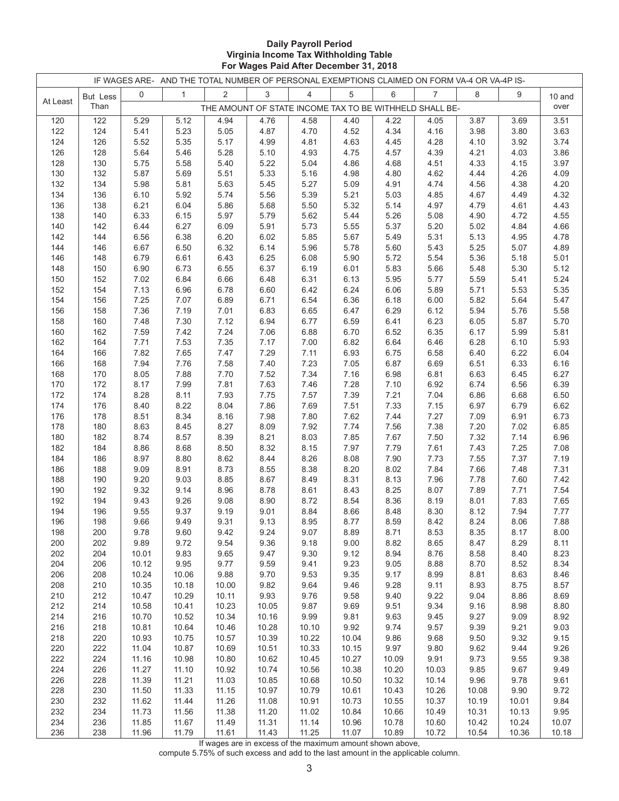#### **Daily Payroll Period Virginia Income Tax Withholding Table For Wages Paid After December 31, 2018**

|            |                 |                | IF WAGES ARE- AND THE TOTAL NUMBER OF PERSONAL EXEMPTIONS CLAIMED ON FORM VA-4 OR VA-4P IS- |                |                |                                                         |                |                |                |               |              |              |
|------------|-----------------|----------------|---------------------------------------------------------------------------------------------|----------------|----------------|---------------------------------------------------------|----------------|----------------|----------------|---------------|--------------|--------------|
|            | <b>But Less</b> | $\mathbf 0$    | $\mathbf{1}$                                                                                | $\overline{2}$ | 3              | $\overline{4}$                                          | 5              | 6              | $\overline{7}$ | 8             | 9            | 10 and       |
| At Least   | Than            |                |                                                                                             |                |                | THE AMOUNT OF STATE INCOME TAX TO BE WITHHELD SHALL BE- |                |                |                |               |              | over         |
| 120        | 122             | 5.29           | 5.12                                                                                        | 4.94           | 4.76           | 4.58                                                    | 4.40           | 4.22           | 4.05           | 3.87          | 3.69         | 3.51         |
| 122        | 124             | 5.41           | 5.23                                                                                        | 5.05           | 4.87           | 4.70                                                    | 4.52           | 4.34           | 4.16           | 3.98          | 3.80         | 3.63         |
| 124        | 126             | 5.52           | 5.35                                                                                        | 5.17           | 4.99           | 4.81                                                    | 4.63           | 4.45           | 4.28           | 4.10          | 3.92         | 3.74         |
| 126        | 128             | 5.64           | 5.46                                                                                        | 5.28           | 5.10           | 4.93                                                    | 4.75           | 4.57           | 4.39           | 4.21          | 4.03         | 3.86         |
| 128        | 130             | 5.75           | 5.58                                                                                        | 5.40           | 5.22           | 5.04                                                    | 4.86           | 4.68           | 4.51           | 4.33          | 4.15         | 3.97         |
| 130        | 132             | 5.87           | 5.69                                                                                        | 5.51           | 5.33           | 5.16                                                    | 4.98           | 4.80           | 4.62           | 4.44          | 4.26         | 4.09         |
| 132        | 134             | 5.98           | 5.81                                                                                        | 5.63           | 5.45           | 5.27                                                    | 5.09           | 4.91           | 4.74           | 4.56          | 4.38         | 4.20         |
| 134        | 136             | 6.10           | 5.92                                                                                        | 5.74           | 5.56           | 5.39                                                    | 5.21           | 5.03           | 4.85           | 4.67          | 4.49         | 4.32         |
| 136        | 138             | 6.21           | 6.04                                                                                        | 5.86           | 5.68           | 5.50                                                    | 5.32           | 5.14           | 4.97           | 4.79          | 4.61         | 4.43         |
| 138        | 140             | 6.33           | 6.15                                                                                        | 5.97           | 5.79           | 5.62                                                    | 5.44           | 5.26           | 5.08           | 4.90          | 4.72         | 4.55         |
| 140        | 142             | 6.44           | 6.27                                                                                        | 6.09           | 5.91           | 5.73                                                    | 5.55           | 5.37           | 5.20           | 5.02          | 4.84         | 4.66         |
| 142        | 144             | 6.56           | 6.38                                                                                        | 6.20           | 6.02           | 5.85                                                    | 5.67           | 5.49           | 5.31           | 5.13          | 4.95         | 4.78         |
| 144        | 146             | 6.67           | 6.50                                                                                        | 6.32           | 6.14           | 5.96                                                    | 5.78           | 5.60           | 5.43           | 5.25          | 5.07         | 4.89         |
| 146        | 148             | 6.79           | 6.61                                                                                        | 6.43           | 6.25           | 6.08                                                    | 5.90           | 5.72           | 5.54           | 5.36          | 5.18         | 5.01         |
| 148<br>150 | 150<br>152      | 6.90<br>7.02   | 6.73<br>6.84                                                                                | 6.55<br>6.66   | 6.37<br>6.48   | 6.19<br>6.31                                            | 6.01<br>6.13   | 5.83<br>5.95   | 5.66<br>5.77   | 5.48<br>5.59  | 5.30<br>5.41 | 5.12<br>5.24 |
| 152        | 154             | 7.13           | 6.96                                                                                        | 6.78           | 6.60           | 6.42                                                    | 6.24           | 6.06           | 5.89           | 5.71          | 5.53         | 5.35         |
| 154        | 156             | 7.25           | 7.07                                                                                        | 6.89           | 6.71           | 6.54                                                    | 6.36           | 6.18           | 6.00           | 5.82          | 5.64         | 5.47         |
| 156        | 158             | 7.36           | 7.19                                                                                        | 7.01           | 6.83           | 6.65                                                    | 6.47           | 6.29           | 6.12           | 5.94          | 5.76         | 5.58         |
| 158        | 160             | 7.48           | 7.30                                                                                        | 7.12           | 6.94           | 6.77                                                    | 6.59           | 6.41           | 6.23           | 6.05          | 5.87         | 5.70         |
| 160        | 162             | 7.59           | 7.42                                                                                        | 7.24           | 7.06           | 6.88                                                    | 6.70           | 6.52           | 6.35           | 6.17          | 5.99         | 5.81         |
| 162        | 164             | 7.71           | 7.53                                                                                        | 7.35           | 7.17           | 7.00                                                    | 6.82           | 6.64           | 6.46           | 6.28          | 6.10         | 5.93         |
| 164        | 166             | 7.82           | 7.65                                                                                        | 7.47           | 7.29           | 7.11                                                    | 6.93           | 6.75           | 6.58           | 6.40          | 6.22         | 6.04         |
| 166        | 168             | 7.94           | 7.76                                                                                        | 7.58           | 7.40           | 7.23                                                    | 7.05           | 6.87           | 6.69           | 6.51          | 6.33         | 6.16         |
| 168        | 170             | 8.05           | 7.88                                                                                        | 7.70           | 7.52           | 7.34                                                    | 7.16           | 6.98           | 6.81           | 6.63          | 6.45         | 6.27         |
| 170        | 172             | 8.17           | 7.99                                                                                        | 7.81           | 7.63           | 7.46                                                    | 7.28           | 7.10           | 6.92           | 6.74          | 6.56         | 6.39         |
| 172        | 174             | 8.28           | 8.11                                                                                        | 7.93           | 7.75           | 7.57                                                    | 7.39           | 7.21           | 7.04           | 6.86          | 6.68         | 6.50         |
| 174        | 176             | 8.40           | 8.22                                                                                        | 8.04           | 7.86           | 7.69                                                    | 7.51           | 7.33           | 7.15           | 6.97          | 6.79         | 6.62         |
| 176        | 178             | 8.51           | 8.34                                                                                        | 8.16           | 7.98           | 7.80                                                    | 7.62           | 7.44           | 7.27           | 7.09          | 6.91         | 6.73         |
| 178        | 180             | 8.63           | 8.45                                                                                        | 8.27           | 8.09           | 7.92                                                    | 7.74           | 7.56           | 7.38           | 7.20          | 7.02         | 6.85         |
| 180        | 182             | 8.74           | 8.57                                                                                        | 8.39           | 8.21           | 8.03                                                    | 7.85           | 7.67           | 7.50           | 7.32          | 7.14         | 6.96         |
| 182        | 184             | 8.86           | 8.68                                                                                        | 8.50           | 8.32           | 8.15                                                    | 7.97           | 7.79           | 7.61           | 7.43          | 7.25         | 7.08         |
| 184        | 186             | 8.97           | 8.80                                                                                        | 8.62           | 8.44           | 8.26                                                    | 8.08           | 7.90           | 7.73           | 7.55          | 7.37         | 7.19         |
| 186<br>188 | 188<br>190      | 9.09<br>9.20   | 8.91<br>9.03                                                                                | 8.73<br>8.85   | 8.55<br>8.67   | 8.38<br>8.49                                            | 8.20<br>8.31   | 8.02<br>8.13   | 7.84<br>7.96   | 7.66<br>7.78  | 7.48<br>7.60 | 7.31<br>7.42 |
| 190        | 192             | 9.32           | 9.14                                                                                        | 8.96           | 8.78           | 8.61                                                    | 8.43           | 8.25           | 8.07           | 7.89          | 7.71         | 7.54         |
| 192        | 194             | 9.43           | 9.26                                                                                        | 9.08           | 8.90           | 8.72                                                    | 8.54           | 8.36           | 8.19           | 8.01          | 7.83         | 7.65         |
| 194        | 196             | 9.55           | 9.37                                                                                        | 9.19           | 9.01           | 8.84                                                    | 8.66           | 8.48           | 8.30           | 8.12          | 7.94         | 7.77         |
| 196        | 198             | 9.66           | 9.49                                                                                        | 9.31           | 9.13           | 8.95                                                    | 8.77           | 8.59           | 8.42           | 8.24          | 8.06         | 7.88         |
| 198        | 200             | 9.78           | 9.60                                                                                        | 9.42           | 9.24           | 9.07                                                    | 8.89           | 8.71           | 8.53           | 8.35          | 8.17         | 8.00         |
| 200        | 202             | 9.89           | 9.72                                                                                        | 9.54           | 9.36           | 9.18                                                    | 9.00           | 8.82           | 8.65           | 8.47          | 8.29         | 8.11         |
| 202        | 204             | 10.01          | 9.83                                                                                        | 9.65           | 9.47           | 9.30                                                    | 9.12           | 8.94           | 8.76           | 8.58          | 8.40         | 8.23         |
| 204        | 206             | 10.12          | 9.95                                                                                        | 9.77           | 9.59           | 9.41                                                    | 9.23           | 9.05           | 8.88           | 8.70          | 8.52         | 8.34         |
| 206        | 208             | 10.24          | 10.06                                                                                       | 9.88           | 9.70           | 9.53                                                    | 9.35           | 9.17           | 8.99           | 8.81          | 8.63         | 8.46         |
| 208        | 210             | 10.35          | 10.18                                                                                       | 10.00          | 9.82           | 9.64                                                    | 9.46           | 9.28           | 9.11           | 8.93          | 8.75         | 8.57         |
| 210        | 212             | 10.47          | 10.29                                                                                       | 10.11          | 9.93           | 9.76                                                    | 9.58           | 9.40           | 9.22           | 9.04          | 8.86         | 8.69         |
| 212        | 214             | 10.58          | 10.41                                                                                       | 10.23          | 10.05          | 9.87                                                    | 9.69           | 9.51           | 9.34           | 9.16          | 8.98         | 8.80         |
| 214        | 216             | 10.70          | 10.52                                                                                       | 10.34          | 10.16          | 9.99                                                    | 9.81           | 9.63           | 9.45           | 9.27          | 9.09         | 8.92         |
| 216        | 218             | 10.81          | 10.64                                                                                       | 10.46          | 10.28          | 10.10                                                   | 9.92           | 9.74           | 9.57           | 9.39          | 9.21         | 9.03         |
| 218        | 220             | 10.93          | 10.75                                                                                       | 10.57          | 10.39          | 10.22                                                   | 10.04          | 9.86           | 9.68           | 9.50          | 9.32         | 9.15         |
| 220        | 222             | 11.04          | 10.87                                                                                       | 10.69          | 10.51          | 10.33                                                   | 10.15          | 9.97           | 9.80           | 9.62          | 9.44         | 9.26         |
| 222        | 224             | 11.16          | 10.98                                                                                       | 10.80          | 10.62          | 10.45                                                   | 10.27          | 10.09          | 9.91           | 9.73          | 9.55         | 9.38         |
| 224<br>226 | 226             | 11.27          | 11.10                                                                                       | 10.92          | 10.74          | 10.56                                                   | 10.38          | 10.20          | 10.03          | 9.85          | 9.67         | 9.49         |
| 228        | 228<br>230      | 11.39<br>11.50 | 11.21<br>11.33                                                                              | 11.03<br>11.15 | 10.85<br>10.97 | 10.68<br>10.79                                          | 10.50<br>10.61 | 10.32<br>10.43 | 10.14<br>10.26 | 9.96<br>10.08 | 9.78<br>9.90 | 9.61<br>9.72 |
| 230        | 232             | 11.62          | 11.44                                                                                       | 11.26          | 11.08          | 10.91                                                   | 10.73          | 10.55          | 10.37          | 10.19         | 10.01        | 9.84         |
| 232        | 234             | 11.73          | 11.56                                                                                       | 11.38          | 11.20          | 11.02                                                   | 10.84          | 10.66          | 10.49          | 10.31         | 10.13        | 9.95         |
| 234        | 236             | 11.85          | 11.67                                                                                       | 11.49          | 11.31          | 11.14                                                   | 10.96          | 10.78          | 10.60          | 10.42         | 10.24        | 10.07        |
| 236        | 238             | 11.96          | 11.79                                                                                       | 11.61          | 11.43          | 11.25                                                   | 11.07          | 10.89          | 10.72          | 10.54         | 10.36        | 10.18        |

If wages are in excess of the maximum amount shown above,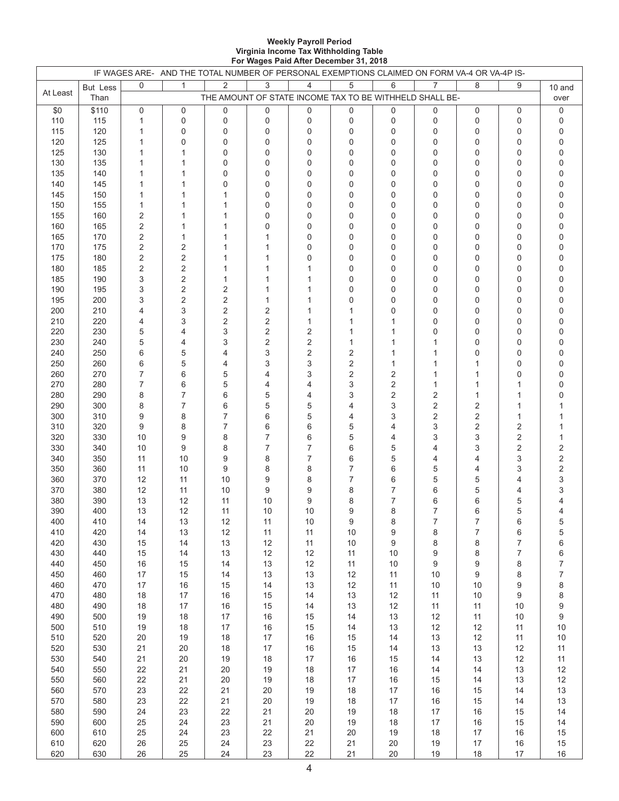#### **Weekly Payroll Period Virginia Income Tax Withholding Table For Wages Paid After December 31, 2018**

|            |                 |          | IF WAGES ARE- AND THE TOTAL NUMBER OF PERSONAL EXEMPTIONS CLAIMED ON FORM VA-4 OR VA-4P IS- |                                                         |                         |                      |                                  |                     |                      |                  |                |                |
|------------|-----------------|----------|---------------------------------------------------------------------------------------------|---------------------------------------------------------|-------------------------|----------------------|----------------------------------|---------------------|----------------------|------------------|----------------|----------------|
| At Least   | <b>But Less</b> | 0        | $\mathbf{1}$                                                                                | $\overline{2}$                                          | 3                       | $\overline{4}$       | $\,$ 5 $\,$                      | 6                   | 7                    | 8                | 9              | 10 and         |
|            | Than            |          |                                                                                             | THE AMOUNT OF STATE INCOME TAX TO BE WITHHELD SHALL BE- |                         |                      |                                  |                     |                      |                  |                | over           |
| \$0        | \$110           | 0        | 0                                                                                           | 0                                                       | $\mathbf 0$             | $\mathbf 0$          | 0                                | 0                   | 0                    | 0                | 0              | 0              |
| 110        | 115             | 1        | 0                                                                                           | 0                                                       | $\pmb{0}$               | $\pmb{0}$            | 0                                | 0                   | 0                    | 0                | 0              | 0              |
| 115        | 120             | 1        | 0                                                                                           | 0                                                       | $\mathbf 0$             | $\mathbf 0$          | $\mathbf 0$                      | $\mathbf 0$         | 0                    | 0                | 0              | 0              |
| 120        | 125             | 1        | $\Omega$                                                                                    | 0                                                       | $\Omega$                | $\mathbf{0}$         | $\Omega$                         | $\Omega$            | $\Omega$             | $\Omega$         | 0              | 0              |
| 125        | 130             | 1        |                                                                                             | 0                                                       | $\mathbf 0$             | $\mathbf 0$          | 0                                | $\mathbf 0$         | 0                    | 0                | 0              | 0              |
| 130        | 135             | 1        |                                                                                             | 0                                                       | $\pmb{0}$               | 0                    | $\mathbf 0$                      | $\mathbf 0$         | 0                    | 0                | 0              | 0              |
| 135<br>140 | 140<br>145      | 1<br>1   |                                                                                             | $\mathbf 0$<br>0                                        | $\mathbf 0$<br>$\Omega$ | $\Omega$<br>$\Omega$ | 0<br>$\Omega$                    | 0<br>$\Omega$       | $\Omega$<br>$\Omega$ | 0<br>$\Omega$    | 0<br>0         | 0<br>0         |
| 145        | 150             | 1        |                                                                                             | 1                                                       | 0                       | $\mathbf 0$          | 0                                | $\mathbf 0$         | $\Omega$             | 0                | 0              | 0              |
| 150        | 155             | 1        |                                                                                             | $\mathbf{1}$                                            | $\mathbf 0$             | 0                    | 0                                | 0                   | 0                    | 0                | 0              | 0              |
| 155        | 160             | 2        |                                                                                             | 1                                                       | $\mathbf 0$             | $\Omega$             | 0                                | 0                   | $\Omega$             | $\Omega$         | 0              | 0              |
| 160        | 165             | 2        |                                                                                             | 1                                                       | $\Omega$                | $\Omega$             | $\Omega$                         | $\Omega$            | $\Omega$             | $\Omega$         | 0              | 0              |
| 165        | 170             | 2        | 1                                                                                           | 1                                                       | 1                       | $\mathbf 0$          | 0                                | 0                   | 0                    | 0                | 0              | 0              |
| 170        | 175             | 2        | 2                                                                                           | $\mathbf{1}$                                            | 1                       | 0                    | $\mathbf 0$                      | 0                   | 0                    | 0                | 0              | 0              |
| 175        | 180             | 2        | 2                                                                                           | 1                                                       | 1                       | $\mathbf 0$          | 0                                | 0                   | $\Omega$             | 0                | 0              | 0              |
| 180        | 185             | 2        | 2                                                                                           | 1                                                       | 1                       | 1                    | 0                                | 0                   | $\Omega$             | $\Omega$         | 0              | 0              |
| 185        | 190             | 3        | 2                                                                                           | $\mathbf{1}$                                            | 1                       | 1                    | 0                                | 0                   | 0                    | 0                | 0              | 0              |
| 190        | 195             | 3        | 2                                                                                           | 2                                                       | 1                       | 1                    | $\mathbf 0$                      | 0                   | 0                    | 0                | 0              | 0              |
| 195        | 200             | 3        | 2                                                                                           | 2                                                       | 1                       | 1                    | $\mathbf 0$                      | 0                   | $\Omega$             | 0                | 0              | 0              |
| 200        | 210             | 4        | 3                                                                                           | 2                                                       | 2                       | 1                    | 1                                | 0                   | $\Omega$             | 0                | 0              | 0              |
| 210        | 220             | 4        | 3                                                                                           | 2                                                       | $\overline{2}$          | 1                    | 1                                | 1                   | 0                    | 0                | 0              | 0              |
| 220        | 230             | 5        | 4                                                                                           | 3                                                       | $\overline{2}$          | 2                    | 1                                | 1                   | $\Omega$             | 0                | 0              | 0              |
| 230        | 240             | 5        | 4                                                                                           | 3                                                       | 2                       | $\overline{2}$       | 1                                | 1                   |                      | $\Omega$         | 0              | 0              |
| 240        | 250<br>260      | 6        | 5<br>5                                                                                      | 4                                                       | 3<br>3                  | 2                    | 2                                | 1<br>1              |                      | $\Omega$         | 0<br>0         | 0<br>0         |
| 250<br>260 | 270             | 6<br>7   | 6                                                                                           | 4<br>5                                                  | 4                       | 3<br>3               | $\overline{2}$<br>$\overline{2}$ | 2                   | 1                    |                  | 0              | 0              |
| 270        | 280             | 7        | 6                                                                                           | 5                                                       | 4                       | 4                    | 3                                | $\overline{2}$      | 1                    |                  | 1              |                |
| 280        | 290             | 8        | 7                                                                                           | 6                                                       | 5                       | 4                    | 3                                | $\overline{2}$      | 2                    | 1                | 1              | 0              |
| 290        | 300             | 8        | 7                                                                                           | 6                                                       | 5                       | 5                    | 4                                | 3                   | $\sqrt{2}$           | 2                | 1              |                |
| 300        | 310             | 9        | 8                                                                                           | 7                                                       | 6                       | 5                    | 4                                | 3                   | 2                    | 2                | $\mathbf{1}$   |                |
| 310        | 320             | 9        | 8                                                                                           | 7                                                       | 6                       | 6                    | 5                                | 4                   | 3                    | 2                | 2              |                |
| 320        | 330             | 10       | 9                                                                                           | 8                                                       | $\overline{7}$          | 6                    | 5                                | 4                   | 3                    | 3                | $\overline{2}$ |                |
| 330        | 340             | 10       | 9                                                                                           | 8                                                       | $\overline{7}$          | $\overline{7}$       | 6                                | 5                   | 4                    | 3                | $\overline{2}$ | 2              |
| 340        | 350             | 11       | 10                                                                                          | 9                                                       | 8                       | $\overline{7}$       | 6                                | 5                   | 4                    | 4                | 3              | 2              |
| 350        | 360             | 11       | 10                                                                                          | 9                                                       | 8                       | 8                    | $\overline{7}$                   | 6                   | 5                    | 4                | 3              | 2              |
| 360        | 370             | 12       | 11                                                                                          | 10                                                      | 9                       | 8                    | $\overline{7}$                   | 6                   | 5                    | 5                | 4              | 3              |
| 370        | 380             | 12       | 11                                                                                          | 10                                                      | 9                       | 9                    | 8                                | $\overline{7}$      | 6                    | 5                | 4              | 3              |
| 380<br>390 | 390             | 13       | 12                                                                                          | 11<br>11                                                | 10                      | 9                    | 8<br>9                           | $\overline{7}$<br>8 | 6<br>$\overline{7}$  | 6<br>6           | 5<br>5         |                |
| 400        | 400<br>410      | 13<br>14 | 12<br>13                                                                                    | 12                                                      | 10<br>11                | 10<br>$10\,$         |                                  | 8                   | 7                    | 7                |                | 4              |
| 410        | 420             | 14       | 13                                                                                          | 12                                                      | 11                      | 11                   | 9<br>10                          | 9                   | 8                    | $\boldsymbol{7}$ | 6<br>6         | 5<br>5         |
| 420        | 430             | 15       | 14                                                                                          | 13                                                      | 12                      | 11                   | $10$                             | 9                   | 8                    | 8                | $\overline{7}$ | 6              |
| 430        | 440             | 15       | 14                                                                                          | 13                                                      | 12                      | $12$                 | 11                               | 10                  | 9                    | 8                | $\overline{7}$ | 6              |
| 440        | 450             | $16\,$   | 15                                                                                          | 14                                                      | 13                      | $12$                 | $11$                             | $10$                | 9                    | 9                | 8              | $\overline{7}$ |
| 450        | 460             | $17\,$   | 15                                                                                          | 14                                                      | 13                      | $13$                 | $12$                             | 11                  | $10$                 | 9                | 8              | $\overline{7}$ |
| 460        | 470             | $17\,$   | $16\,$                                                                                      | 15                                                      | 14                      | $13$                 | $12$                             | 11                  | $10$                 | $10$             | 9              | 8              |
| 470        | 480             | $18\,$   | $17\,$                                                                                      | $16$                                                    | 15                      | 14                   | $13$                             | $12$                | 11                   | $10$             | 9              | 8              |
| 480        | 490             | 18       | $17\,$                                                                                      | $16$                                                    | 15                      | 14                   | $13$                             | $12$                | 11                   | 11               | $10$           | 9              |
| 490        | 500             | $19$     | 18                                                                                          | $17$                                                    | $16\,$                  | $15\,$               | 14                               | $13$                | 12                   | 11               | $10$           | 9              |
| 500        | 510             | $19$     | $18$                                                                                        | $17$                                                    | $16\,$                  | 15                   | 14                               | 13                  | 12                   | 12               | 11             | $10\,$         |
| 510        | 520             | 20       | 19                                                                                          | 18                                                      | $17$                    | $16\,$               | $15\,$                           | 14                  | $13$                 | 12               | 11             | $10\,$         |
| 520        | 530             | 21       | 20                                                                                          | $18$                                                    | 17                      | $16\,$               | $15\,$                           | 14                  | $13$                 | 13               | 12             | $11$           |
| 530<br>540 | 540<br>550      | 21<br>22 | $20\,$<br>21                                                                                | $19$<br>$20\,$                                          | 18<br>19                | $17\,$<br>$18\,$     | $16\,$<br>$17\,$                 | 15<br>$16\,$        | 14<br>14             | 13<br>14         | 12<br>$13$     | $11$<br>12     |
| 550        | 560             | 22       | 21                                                                                          | $20\,$                                                  | 19                      | 18                   | $17\,$                           | $16\,$              | 15                   | 14               | 13             | 12             |
| 560        | 570             | 23       | 22                                                                                          | 21                                                      | 20                      | 19                   | $18$                             | $17\,$              | $16\,$               | 15               | 14             | 13             |
| 570        | 580             | 23       | 22                                                                                          | 21                                                      | $20\,$                  | $19$                 | 18                               | $17$                | 16                   | 15               | 14             | $13$           |
| 580        | 590             | 24       | 23                                                                                          | 22                                                      | 21                      | 20                   | 19                               | $18$                | $17\,$               | 16               | 15             | 14             |
| 590        | 600             | 25       | 24                                                                                          | 23                                                      | 21                      | $20\,$               | $19$                             | 18                  | $17\,$               | 16               | 15             | 14             |
| 600        | 610             | 25       | 24                                                                                          | 23                                                      | 22                      | 21                   | 20                               | 19                  | $18$                 | 17               | $16$           | 15             |
| 610        | 620             | 26       | 25                                                                                          | 24                                                      | 23                      | 22                   | 21                               | $20\,$              | $19$                 | $17\,$           | 16             | 15             |
| 620        | 630             | 26       | 25                                                                                          | 24                                                      | 23                      | 22                   | 21                               | $20\,$              | $19$                 | 18               | $17\,$         | 16             |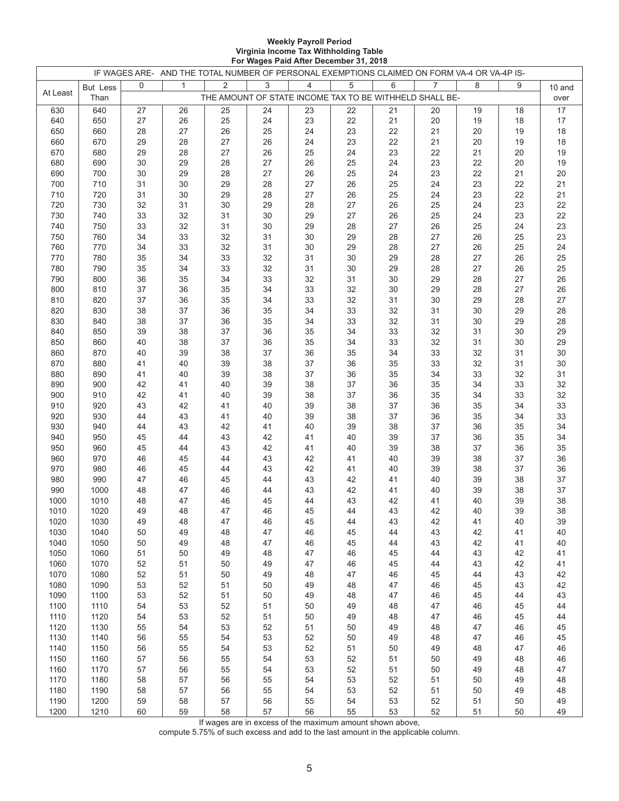#### **Weekly Payroll Period Virginia Income Tax Withholding Table For Wages Paid After December 31, 2018**

|              |              |          |              | IF WAGES ARE- AND THE TOTAL NUMBER OF PERSONAL EXEMPTIONS CLAIMED ON FORM VA-4 OR VA-4P IS- |          |                |             |          |          |          |          |          |
|--------------|--------------|----------|--------------|---------------------------------------------------------------------------------------------|----------|----------------|-------------|----------|----------|----------|----------|----------|
|              | But Less     | 0        | $\mathbf{1}$ | $\overline{2}$                                                                              | 3        | $\overline{4}$ | $\,$ 5 $\,$ | 6        | 7        | 8        | 9        | 10 and   |
| At Least     | Than         |          |              | THE AMOUNT OF STATE INCOME TAX TO BE WITHHELD SHALL BE-                                     |          |                |             |          |          |          |          | over     |
| 630          | 640          | 27       | 26           | 25                                                                                          | 24       | 23             | 22          | 21       | 20       | 19       | 18       | 17       |
| 640          | 650          | 27       | 26           | 25                                                                                          | 24       | 23             | 22          | 21       | 20       | 19       | 18       | 17       |
| 650          | 660          | 28       | 27           | 26                                                                                          | 25       | 24             | 23          | 22       | 21       | 20       | 19       | 18       |
| 660          | 670          | 29       | 28           | 27                                                                                          | 26       | 24             | 23          | 22       | 21       | 20       | 19       | 18       |
| 670          | 680          | 29       | 28           | 27                                                                                          | 26       | 25             | 24          | 23       | 22       | 21       | 20       | 19       |
| 680          | 690          | 30       | 29           | 28                                                                                          | 27       | 26             | 25          | 24       | 23       | 22       | 20       | 19       |
| 690          | 700          | 30       | 29           | 28                                                                                          | 27       | 26             | 25          | 24       | 23       | 22       | 21       | 20       |
| 700          | 710          | 31       | 30           | 29                                                                                          | 28       | 27             | 26          | 25       | 24       | 23       | 22       | 21       |
| 710          | 720          | 31       | 30           | 29                                                                                          | 28       | 27             | 26          | 25       | 24       | 23       | 22       | 21       |
| 720          | 730          | 32       | 31           | 30                                                                                          | 29       | 28             | 27          | 26       | 25       | 24       | 23       | 22       |
| 730          | 740          | 33       | 32           | 31                                                                                          | 30       | 29             | 27          | 26       | 25       | 24       | 23       | 22       |
| 740          | 750          | 33       | 32           | 31                                                                                          | 30       | 29             | 28          | 27       | 26       | 25       | 24       | 23       |
| 750          | 760          | 34       | 33           | 32                                                                                          | 31       | 30             | 29          | 28       | 27       | 26       | 25       | 23       |
| 760          | 770          | 34       | 33           | 32                                                                                          | 31       | 30             | 29          | 28       | 27       | 26       | 25       | 24       |
| 770          | 780          | 35       | 34           | 33                                                                                          | 32       | 31             | 30          | 29       | 28       | 27       | 26       | 25       |
| 780          | 790          | 35       | 34           | 33                                                                                          | 32       | 31             | 30          | 29       | 28       | 27       | 26       | 25       |
| 790          | 800          | 36       | 35           | 34                                                                                          | 33       | 32             | 31          | 30       | 29       | 28       | 27       | 26       |
| 800<br>810   | 810<br>820   | 37<br>37 | 36<br>36     | $35\,$<br>35                                                                                | 34<br>34 | 33<br>33       | 32<br>32    | 30<br>31 | 29<br>30 | 28<br>29 | 27<br>28 | 26<br>27 |
| 820          | 830          | 38       | 37           | 36                                                                                          | 35       | 34             | 33          | 32       | 31       | 30       | 29       | 28       |
| 830          | 840          | 38       | 37           | 36                                                                                          | 35       | 34             | 33          | 32       | 31       | 30       | 29       | 28       |
| 840          | 850          | 39       | 38           | 37                                                                                          | 36       | 35             | 34          | 33       | 32       | 31       | 30       | 29       |
| 850          | 860          | 40       | 38           | 37                                                                                          | 36       | 35             | 34          | 33       | 32       | 31       | 30       | 29       |
| 860          | 870          | 40       | 39           | 38                                                                                          | 37       | 36             | 35          | 34       | 33       | 32       | 31       | $30\,$   |
| 870          | 880          | 41       | 40           | 39                                                                                          | 38       | 37             | 36          | 35       | 33       | 32       | 31       | $30\,$   |
| 880          | 890          | 41       | 40           | 39                                                                                          | 38       | 37             | 36          | 35       | 34       | 33       | 32       | 31       |
| 890          | 900          | 42       | 41           | 40                                                                                          | 39       | 38             | 37          | 36       | 35       | 34       | 33       | 32       |
| 900          | 910          | 42       | 41           | 40                                                                                          | 39       | 38             | 37          | 36       | 35       | 34       | 33       | 32       |
| 910          | 920          | 43       | 42           | 41                                                                                          | 40       | 39             | 38          | 37       | 36       | 35       | 34       | 33       |
| 920          | 930          | 44       | 43           | 41                                                                                          | 40       | 39             | 38          | 37       | 36       | 35       | 34       | 33       |
| 930          | 940          | 44       | 43           | 42                                                                                          | 41       | 40             | 39          | 38       | 37       | 36       | 35       | 34       |
| 940          | 950          | 45       | 44           | 43                                                                                          | 42       | 41             | 40          | 39       | 37       | 36       | 35       | 34       |
| 950          | 960          | 45       | 44           | 43                                                                                          | 42       | 41             | 40          | 39       | 38       | 37       | 36       | 35       |
| 960          | 970          | 46       | 45           | 44                                                                                          | 43       | 42             | 41          | 40       | 39       | 38       | 37       | 36       |
| 970          | 980          | 46       | 45           | 44                                                                                          | 43       | 42             | 41          | 40       | 39       | 38       | 37       | 36       |
| 980          | 990          | 47       | 46           | 45                                                                                          | 44       | 43             | 42          | 41       | 40       | 39       | 38       | 37       |
| 990          | 1000         | 48       | 47           | 46                                                                                          | 44       | 43             | 42          | 41       | 40       | 39       | 38       | 37       |
| 1000         | 1010         | 48       | 47           | 46                                                                                          | 45       | 44             | 43          | 42       | 41       | 40       | 39       | 38       |
| 1010         | 1020         | 49       | 48           | 47                                                                                          | 46       | 45             | 44          | 43       | 42       | 40       | 39       | 38       |
| 1020         | 1030         | 49       | 48           | 47                                                                                          | 46       | 45             | 44          | 43       | 42       | 41       | 40       | 39       |
| 1030         | 1040         | 50       | 49           | 48                                                                                          | 47       | 46             | 45          | 44       | 43       | 42       | 41       | 40       |
| 1040         | 1050         | 50       | 49           | 48                                                                                          | 47       | 46             | 45          | 44       | 43       | 42       | 41       | 40       |
| 1050         | 1060         | 51       | 50           | 49                                                                                          | 48       | 47             | 46          | 45       | 44       | 43       | 42       | 41       |
| 1060<br>1070 | 1070<br>1080 | 52<br>52 | 51<br>51     | $50\,$<br>50                                                                                | 49<br>49 | 47<br>48       | 46<br>47    | 45<br>46 | 44<br>45 | 43<br>44 | 42<br>43 | 41<br>42 |
| 1080         | 1090         | 53       | 52           | 51                                                                                          | 50       | 49             | 48          | 47       | 46       | 45       | 43       | 42       |
| 1090         | 1100         | 53       | 52           | 51                                                                                          | 50       | 49             | 48          | 47       | 46       | 45       | 44       | 43       |
| 1100         | 1110         | 54       | 53           | 52                                                                                          | 51       | 50             | 49          | 48       | 47       | 46       | 45       | 44       |
| 1110         | 1120         | 54       | 53           | 52                                                                                          | 51       | 50             | 49          | 48       | 47       | 46       | 45       | 44       |
| 1120         | 1130         | 55       | 54           | 53                                                                                          | 52       | 51             | $50\,$      | 49       | 48       | 47       | 46       | 45       |
| 1130         | 1140         | 56       | 55           | 54                                                                                          | 53       | 52             | 50          | 49       | 48       | 47       | 46       | 45       |
| 1140         | 1150         | 56       | 55           | 54                                                                                          | 53       | 52             | 51          | 50       | 49       | 48       | 47       | 46       |
| 1150         | 1160         | 57       | 56           | 55                                                                                          | 54       | 53             | 52          | 51       | 50       | 49       | 48       | 46       |
| 1160         | 1170         | 57       | 56           | 55                                                                                          | 54       | 53             | 52          | 51       | 50       | 49       | 48       | 47       |
| 1170         | 1180         | 58       | 57           | 56                                                                                          | 55       | 54             | 53          | 52       | 51       | 50       | 49       | 48       |
| 1180         | 1190         | 58       | 57           | 56                                                                                          | 55       | 54             | 53          | 52       | 51       | 50       | 49       | 48       |
| 1190         | 1200         | 59       | 58           | 57                                                                                          | 56       | 55             | 54          | 53       | 52       | 51       | 50       | 49       |
| 1200         | 1210         | 60       | 59           | 58                                                                                          | 57       | 56             | 55          | 53       | 52       | 51       | $50\,$   | 49       |

If wages are in excess of the maximum amount shown above,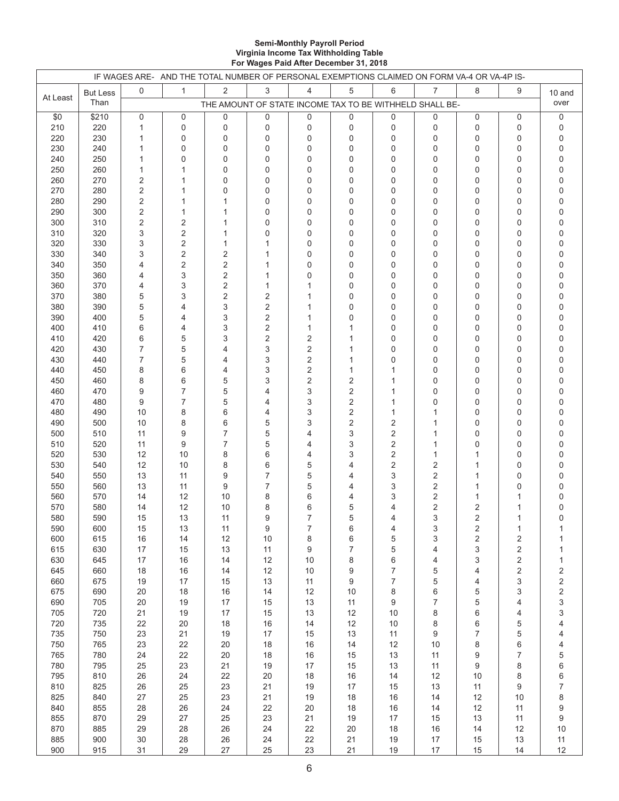#### **Semi-Monthly Payroll Period Virginia Income Tax Withholding Table For Wages Paid After December 31, 2018**

|            |                 |                              | IF WAGES ARE- AND THE TOTAL NUMBER OF PERSONAL EXEMPTIONS CLAIMED ON FORM VA-4 OR VA-4P IS- |                     |                        |                     |                  |                                                         |          |                         |                           |                                       |
|------------|-----------------|------------------------------|---------------------------------------------------------------------------------------------|---------------------|------------------------|---------------------|------------------|---------------------------------------------------------|----------|-------------------------|---------------------------|---------------------------------------|
|            | <b>But Less</b> | $\mathbf 0$                  | $\mathbf{1}$                                                                                | 2                   | 3                      | 4                   | 5                | 6                                                       | 7        | 8                       | 9                         | 10 and                                |
| At Least   | Than            |                              |                                                                                             |                     |                        |                     |                  | THE AMOUNT OF STATE INCOME TAX TO BE WITHHELD SHALL BE- |          |                         |                           | over                                  |
| \$0        | \$210           | 0                            | 0                                                                                           | 0                   | $\pmb{0}$              | 0                   | 0                | 0                                                       | 0        | 0                       | 0                         | 0                                     |
| 210        | 220             | 1                            | 0                                                                                           | 0                   | $\pmb{0}$              | 0                   | 0                | 0                                                       | 0        | 0                       | 0                         | 0                                     |
| 220        | 230             | 1                            | 0                                                                                           | 0                   | $\pmb{0}$              | 0                   | $\mathbf 0$      | 0                                                       | 0        | 0                       | 0                         | 0                                     |
| 230        | 240             | 1                            | $\mathbf 0$                                                                                 | 0                   | 0                      | 0                   | 0                | 0                                                       | 0        | 0                       | 0                         | 0                                     |
| 240        | 250             | 1                            | $\mathbf 0$                                                                                 | 0                   | $\mathbf 0$            | 0                   | 0                | 0                                                       | 0        | 0                       | 0                         | 0                                     |
| 250        | 260             | 1                            | $\mathbf{1}$<br>$\mathbf{1}$                                                                | 0                   | $\mathbf 0$            | 0                   | 0                | 0                                                       | 0        | 0                       | $\mathbf 0$               | 0                                     |
| 260<br>270 | 270<br>280      | $\overline{2}$<br>$\sqrt{2}$ | $\mathbf{1}$                                                                                | 0<br>0              | $\pmb{0}$<br>$\pmb{0}$ | 0<br>0              | 0<br>0           | 0<br>0                                                  | 0<br>0   | 0<br>0                  | 0<br>0                    | 0<br>0                                |
| 280        | 290             | $\sqrt{2}$                   | $\mathbf 1$                                                                                 | $\mathbf{1}$        | 0                      | 0                   | 0                | 0                                                       | 0        | 0                       | 0                         | 0                                     |
| 290        | 300             | 2                            | $\mathbf{1}$                                                                                | $\mathbf{1}$        | $\mathbf 0$            | 0                   | 0                | 0                                                       | 0        | 0                       | $\mathbf 0$               | 0                                     |
| 300        | 310             | $\sqrt{2}$                   | $\overline{2}$                                                                              | $\mathbf{1}$        | $\pmb{0}$              | 0                   | 0                | 0                                                       | 0        | 0                       | 0                         | 0                                     |
| 310        | 320             | 3                            | $\overline{2}$                                                                              | $\mathbf{1}$        | 0                      | 0                   | 0                | 0                                                       | 0        | 0                       | 0                         | 0                                     |
| 320        | 330             | 3                            | $\sqrt{2}$                                                                                  | 1                   | 1                      | 0                   | 0                | 0                                                       | 0        | 0                       | 0                         | 0                                     |
| 330        | 340             | 3                            | $\overline{2}$                                                                              | $\overline{2}$      | $\mathbf{1}$           | 0                   | 0                | 0                                                       | 0        | 0                       | 0                         | 0                                     |
| 340        | 350             | 4                            | $\overline{2}$                                                                              | $\overline{2}$      | $\mathbf{1}$           | 0                   | 0                | 0                                                       | 0        | 0                       | 0                         | 0                                     |
| 350        | 360             | 4                            | 3                                                                                           | $\overline{2}$      | $\mathbf{1}$           | 0                   | 0                | 0                                                       | 0        | 0                       | 0                         | 0                                     |
| 360        | 370             | 4                            | 3                                                                                           | 2                   | $\mathbf{1}$           | 1                   | 0                | 0                                                       | 0        | 0                       | 0                         | 0                                     |
| 370        | 380             | 5                            | 3                                                                                           | $\sqrt{2}$          | $\overline{2}$         | 1                   | 0                | 0                                                       | 0        | 0                       | 0                         | 0                                     |
| 380<br>390 | 390<br>400      | 5<br>5                       | 4<br>4                                                                                      | 3<br>3              | 2<br>$\overline{2}$    | 1<br>1              | 0<br>0           | 0<br>0                                                  | 0<br>0   | 0<br>0                  | 0<br>0                    | 0<br>0                                |
| 400        | 410             | 6                            | 4                                                                                           | 3                   | 2                      | 1                   | 1                | 0                                                       | 0        | 0                       | 0                         | 0                                     |
| 410        | 420             | 6                            | 5                                                                                           | 3                   | 2                      | 2                   | 1                | 0                                                       | 0        | 0                       | 0                         | 0                                     |
| 420        | 430             | 7                            | 5                                                                                           | 4                   | 3                      | 2                   | 1                | 0                                                       | 0        | 0                       | 0                         | 0                                     |
| 430        | 440             | 7                            | 5                                                                                           | 4                   | 3                      | 2                   | 1                | 0                                                       | 0        | 0                       | 0                         | 0                                     |
| 440        | 450             | 8                            | 6                                                                                           | 4                   | 3                      | 2                   | 1                | 1                                                       | 0        | 0                       | $\mathbf 0$               | 0                                     |
| 450        | 460             | 8                            | 6                                                                                           | 5                   | 3                      | 2                   | 2                | 1                                                       | 0        | 0                       | 0                         | 0                                     |
| 460        | 470             | 9                            | $\overline{7}$                                                                              | 5                   | $\overline{4}$         | 3                   | 2                | 1                                                       | 0        | 0                       | 0                         | 0                                     |
| 470        | 480             | 9                            | $\overline{7}$                                                                              | 5                   | 4                      | 3                   | 2                | 1                                                       | 0        | 0                       | 0                         | 0                                     |
| 480        | 490             | 10                           | 8                                                                                           | 6                   | 4                      | 3                   | 2                | $\mathbf{1}$                                            | 1        | 0                       | 0                         | 0                                     |
| 490        | 500             | 10                           | 8                                                                                           | 6<br>$\overline{7}$ | 5                      | 3                   | 2                | 2                                                       | 1        | 0                       | 0                         | 0                                     |
| 500<br>510 | 510<br>520      | 11<br>11                     | 9<br>9                                                                                      | $\overline{7}$      | 5<br>5                 | $\overline{4}$<br>4 | 3<br>3           | 2<br>2                                                  | 1<br>1   | 0<br>0                  | 0<br>0                    | 0<br>0                                |
| 520        | 530             | 12                           | 10                                                                                          | 8                   | 6                      | 4                   | 3                | 2                                                       | 1        | 1                       | $\mathbf 0$               | 0                                     |
| 530        | 540             | 12                           | 10                                                                                          | 8                   | 6                      | 5                   | 4                | 2                                                       | 2        | 1                       | 0                         | 0                                     |
| 540        | 550             | 13                           | 11                                                                                          | 9                   | 7                      | 5                   | 4                | 3                                                       | 2        | 1                       | $\mathbf 0$               | 0                                     |
| 550        | 560             | 13                           | 11                                                                                          | 9                   | 7                      | 5                   | 4                | 3                                                       | 2        | 1                       | $\mathbf 0$               | 0                                     |
| 560        | 570             | 14                           | 12                                                                                          | 10                  | 8                      | 6                   | 4                | 3                                                       | 2        | 1                       | 1                         | 0                                     |
| 570        | 580             | 14                           | 12                                                                                          | 10                  | 8                      | 6                   | 5                | 4                                                       | 2        | 2                       | 1                         | 0                                     |
| 580        | 590             | 15                           | 13                                                                                          | 11                  | 9                      | $\overline{7}$      | 5                | 4                                                       | 3        | 2                       | 1                         | 0                                     |
| 590        | 600             | 15                           | 13                                                                                          | 11                  | 9                      | 7                   | 6                | 4                                                       | 3        | 2                       | 1                         |                                       |
| 600        | 615             | 16                           | 14                                                                                          | 12                  | $10$                   | 8                   | 6                | 5                                                       | 3        | $\overline{\mathbf{c}}$ | $\sqrt{2}$                | 1                                     |
| 615        | 630             | $17$                         | 15                                                                                          | 13                  | 11                     | 9                   | $\boldsymbol{7}$ | 5                                                       | 4        | 3                       | $\overline{c}$            | 1                                     |
| 630<br>645 | 645<br>660      | 17<br>18                     | 16<br>16                                                                                    | 14<br>14            | 12<br>12               | $10$<br>$10$        | 8<br>9           | 6<br>7                                                  | 4<br>5   | 3<br>4                  | $\sqrt{2}$<br>$\sqrt{2}$  | 1                                     |
| 660        | 675             | 19                           | 17                                                                                          | 15                  | 13                     | 11                  | 9                | 7                                                       | 5        | 4                       | $\ensuremath{\mathsf{3}}$ | $\overline{\mathbf{c}}$               |
| 675        | 690             | $20\,$                       | 18                                                                                          | 16                  | 14                     | 12                  | $10$             | 8                                                       | 6        | 5                       | 3                         | $\begin{array}{c} 2 \\ 2 \end{array}$ |
| 690        | 705             | 20                           | 19                                                                                          | 17                  | 15                     | 13                  | 11               | 9                                                       | 7        | 5                       | 4                         | 3                                     |
| 705        | 720             | 21                           | 19                                                                                          | $17$                | 15                     | $13$                | 12               | 10                                                      | 8        | 6                       | 4                         | 3                                     |
| 720        | 735             | 22                           | 20                                                                                          | 18                  | 16                     | 14                  | 12               | 10                                                      | 8        | 6                       | 5                         | 4                                     |
| 735        | 750             | 23                           | 21                                                                                          | 19                  | 17                     | 15                  | 13               | 11                                                      | 9        | 7                       | 5                         | 4                                     |
| 750        | 765             | 23                           | 22                                                                                          | 20                  | 18                     | $16$                | 14               | 12                                                      | 10       | 8                       | 6                         | 4                                     |
| 765        | 780             | 24                           | 22                                                                                          | 20                  | 18                     | $16\,$              | 15               | 13                                                      | 11       | 9                       | $\boldsymbol{7}$          | 5                                     |
| 780        | 795             | 25                           | 23                                                                                          | 21                  | 19                     | $17$                | 15               | 13                                                      | 11       | 9                       | 8                         | 6                                     |
| 795        | 810             | 26                           | 24                                                                                          | 22                  | 20                     | 18                  | $16$             | 14                                                      | 12       | 10                      | 8                         | 6                                     |
| 810<br>825 | 825             | 26<br>27                     | 25                                                                                          | 23<br>23            | 21<br>21               | 19<br>19            | $17$             | 15                                                      | 13       | 11<br>12                | $\boldsymbol{9}$          | 7<br>8                                |
| 840        | 840<br>855      | 28                           | 25<br>26                                                                                    | 24                  | 22                     | $20\,$              | $18$<br>18       | 16<br>$16\,$                                            | 14<br>14 | 12                      | 10<br>11                  | 9                                     |
| 855        | 870             | 29                           | 27                                                                                          | 25                  | 23                     | 21                  | 19               | 17                                                      | 15       | 13                      | 11                        | 9                                     |
| 870        | 885             | 29                           | 28                                                                                          | 26                  | 24                     | 22                  | $20\,$           | 18                                                      | 16       | 14                      | 12                        | 10                                    |
| 885        | 900             | 30                           | 28                                                                                          | 26                  | 24                     | 22                  | 21               | 19                                                      | 17       | 15                      | $13$                      | 11                                    |
| 900        | 915             | 31                           | 29                                                                                          | 27                  | 25                     | 23                  | 21               | 19                                                      | 17       | 15                      | 14                        | 12                                    |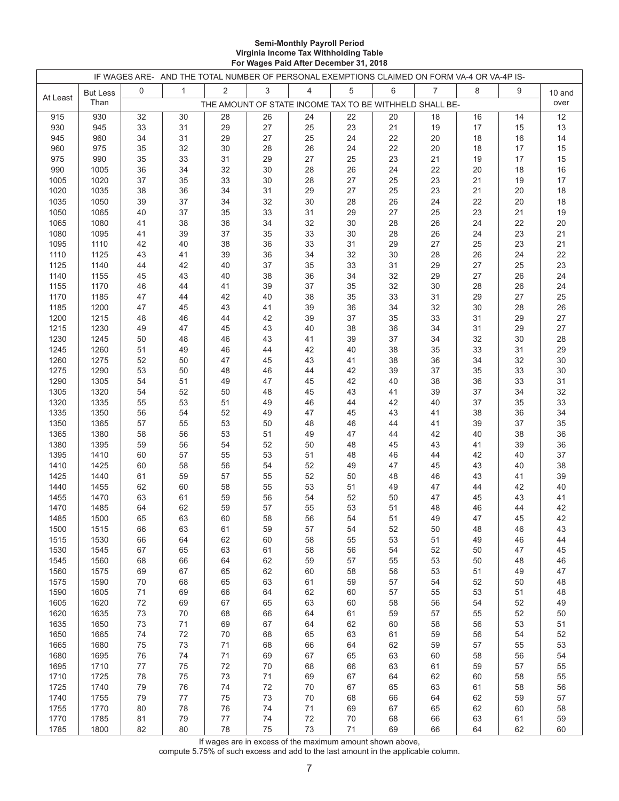#### **Semi-Monthly Payroll Period Virginia Income Tax Withholding Table For Wages Paid After December 31, 2018**

|          |                 |    | IF WAGES ARE- AND THE TOTAL NUMBER OF PERSONAL EXEMPTIONS CLAIMED ON FORM VA-4 OR VA-4P IS- |    |      |                                                         |    |    |                |    |    |        |
|----------|-----------------|----|---------------------------------------------------------------------------------------------|----|------|---------------------------------------------------------|----|----|----------------|----|----|--------|
|          | <b>But Less</b> | 0  | $\mathbf{1}$                                                                                | 2  | 3    | 4                                                       | 5  | 6  | $\overline{7}$ | 8  | 9  | 10 and |
| At Least | Than            |    |                                                                                             |    |      | THE AMOUNT OF STATE INCOME TAX TO BE WITHHELD SHALL BE- |    |    |                |    |    | over   |
| 915      | 930             | 32 | 30                                                                                          | 28 | 26   | 24                                                      | 22 | 20 | 18             | 16 | 14 | 12     |
| 930      | 945             | 33 | 31                                                                                          | 29 | 27   | 25                                                      | 23 | 21 | 19             | 17 | 15 | 13     |
| 945      | 960             | 34 | 31                                                                                          | 29 | 27   | 25                                                      | 24 | 22 | 20             | 18 | 16 | 14     |
| 960      | 975             | 35 | 32                                                                                          | 30 | 28   | 26                                                      | 24 | 22 | 20             | 18 | 17 | 15     |
| 975      | 990             | 35 | 33                                                                                          | 31 | 29   | 27                                                      | 25 | 23 | 21             | 19 | 17 | 15     |
| 990      | 1005            | 36 | 34                                                                                          | 32 | 30   | 28                                                      | 26 | 24 | 22             | 20 | 18 | 16     |
| 1005     | 1020            | 37 | 35                                                                                          | 33 | 30   | 28                                                      | 27 | 25 | 23             | 21 | 19 | 17     |
|          |                 |    |                                                                                             |    |      |                                                         |    |    |                |    |    |        |
| 1020     | 1035            | 38 | 36                                                                                          | 34 | 31   | 29                                                      | 27 | 25 | 23             | 21 | 20 | 18     |
| 1035     | 1050            | 39 | 37                                                                                          | 34 | 32   | 30                                                      | 28 | 26 | 24             | 22 | 20 | $18$   |
| 1050     | 1065            | 40 | 37                                                                                          | 35 | 33   | 31                                                      | 29 | 27 | 25             | 23 | 21 | $19$   |
| 1065     | 1080            | 41 | 38                                                                                          | 36 | 34   | 32                                                      | 30 | 28 | 26             | 24 | 22 | 20     |
| 1080     | 1095            | 41 | 39                                                                                          | 37 | 35   | 33                                                      | 30 | 28 | 26             | 24 | 23 | 21     |
| 1095     | 1110            | 42 | 40                                                                                          | 38 | 36   | 33                                                      | 31 | 29 | 27             | 25 | 23 | 21     |
| 1110     | 1125            | 43 | 41                                                                                          | 39 | 36   | 34                                                      | 32 | 30 | 28             | 26 | 24 | 22     |
| 1125     | 1140            | 44 | 42                                                                                          | 40 | 37   | 35                                                      | 33 | 31 | 29             | 27 | 25 | 23     |
| 1140     | 1155            | 45 | 43                                                                                          | 40 | 38   | 36                                                      | 34 | 32 | 29             | 27 | 26 | 24     |
| 1155     | 1170            | 46 | 44                                                                                          | 41 | 39   | 37                                                      | 35 | 32 | 30             | 28 | 26 | 24     |
| 1170     | 1185            | 47 | 44                                                                                          | 42 | 40   | 38                                                      | 35 | 33 | 31             | 29 | 27 | 25     |
| 1185     | 1200            | 47 | 45                                                                                          | 43 | 41   | 39                                                      | 36 | 34 | 32             | 30 | 28 | 26     |
| 1200     | 1215            | 48 | 46                                                                                          | 44 | 42   | 39                                                      | 37 | 35 | 33             | 31 | 29 | 27     |
| 1215     | 1230            | 49 | 47                                                                                          | 45 | 43   | 40                                                      | 38 | 36 | 34             | 31 | 29 | 27     |
| 1230     | 1245            | 50 | 48                                                                                          | 46 | 43   | 41                                                      | 39 | 37 | 34             | 32 | 30 | 28     |
| 1245     | 1260            | 51 | 49                                                                                          | 46 | 44   | 42                                                      | 40 | 38 | 35             | 33 | 31 | 29     |
| 1260     | 1275            | 52 | 50                                                                                          | 47 | 45   | 43                                                      | 41 | 38 | 36             | 34 | 32 | 30     |
|          |                 |    |                                                                                             |    |      |                                                         |    |    |                |    |    |        |
| 1275     | 1290            | 53 | 50                                                                                          | 48 | 46   | 44                                                      | 42 | 39 | 37             | 35 | 33 | $30\,$ |
| 1290     | 1305            | 54 | 51                                                                                          | 49 | 47   | 45                                                      | 42 | 40 | 38             | 36 | 33 | 31     |
| 1305     | 1320            | 54 | 52                                                                                          | 50 | 48   | 45                                                      | 43 | 41 | 39             | 37 | 34 | 32     |
| 1320     | 1335            | 55 | 53                                                                                          | 51 | 49   | 46                                                      | 44 | 42 | 40             | 37 | 35 | 33     |
| 1335     | 1350            | 56 | 54                                                                                          | 52 | 49   | 47                                                      | 45 | 43 | 41             | 38 | 36 | 34     |
| 1350     | 1365            | 57 | 55                                                                                          | 53 | 50   | 48                                                      | 46 | 44 | 41             | 39 | 37 | 35     |
| 1365     | 1380            | 58 | 56                                                                                          | 53 | 51   | 49                                                      | 47 | 44 | 42             | 40 | 38 | 36     |
| 1380     | 1395            | 59 | 56                                                                                          | 54 | 52   | 50                                                      | 48 | 45 | 43             | 41 | 39 | $36\,$ |
| 1395     | 1410            | 60 | 57                                                                                          | 55 | 53   | 51                                                      | 48 | 46 | 44             | 42 | 40 | 37     |
| 1410     | 1425            | 60 | 58                                                                                          | 56 | 54   | 52                                                      | 49 | 47 | 45             | 43 | 40 | 38     |
| 1425     | 1440            | 61 | 59                                                                                          | 57 | 55   | 52                                                      | 50 | 48 | 46             | 43 | 41 | 39     |
| 1440     | 1455            | 62 | 60                                                                                          | 58 | 55   | 53                                                      | 51 | 49 | 47             | 44 | 42 | 40     |
| 1455     | 1470            | 63 | 61                                                                                          | 59 | 56   | 54                                                      | 52 | 50 | 47             | 45 | 43 | 41     |
| 1470     | 1485            | 64 | 62                                                                                          | 59 | 57   | 55                                                      | 53 | 51 | 48             | 46 | 44 | 42     |
| 1485     | 1500            | 65 | 63                                                                                          | 60 | 58   | 56                                                      | 54 | 51 | 49             | 47 | 45 | 42     |
| 1500     | 1515            | 66 | 63                                                                                          | 61 | 59   | 57                                                      | 54 | 52 | 50             | 48 | 46 | 43     |
| 1515     | 1530            | 66 | 64                                                                                          | 62 | 60   | 58                                                      | 55 | 53 | 51             | 49 | 46 | 44     |
| 1530     | 1545            | 67 | 65                                                                                          | 63 | 61   | 58                                                      | 56 | 54 | 52             | 50 | 47 | 45     |
| 1545     | 1560            | 68 | 66                                                                                          | 64 | 62   | 59                                                      | 57 | 55 | 53             | 50 | 48 | 46     |
| 1560     | 1575            | 69 | 67                                                                                          | 65 | 62   | 60                                                      | 58 | 56 | 53             | 51 | 49 | 47     |
| 1575     | 1590            | 70 | 68                                                                                          | 65 | 63   | 61                                                      | 59 | 57 | 54             | 52 | 50 | 48     |
| 1590     | 1605            | 71 |                                                                                             | 66 | 64   | 62                                                      | 60 | 57 | 55             | 53 |    | 48     |
|          |                 |    | 69                                                                                          |    |      |                                                         |    |    |                |    | 51 |        |
| 1605     | 1620            | 72 | 69                                                                                          | 67 | 65   | 63                                                      | 60 | 58 | 56             | 54 | 52 | 49     |
| 1620     | 1635            | 73 | 70                                                                                          | 68 | 66   | 64                                                      | 61 | 59 | 57             | 55 | 52 | 50     |
| 1635     | 1650            | 73 | 71                                                                                          | 69 | 67   | 64                                                      | 62 | 60 | 58             | 56 | 53 | 51     |
| 1650     | 1665            | 74 | 72                                                                                          | 70 | 68   | 65                                                      | 63 | 61 | 59             | 56 | 54 | 52     |
| 1665     | 1680            | 75 | 73                                                                                          | 71 | 68   | 66                                                      | 64 | 62 | 59             | 57 | 55 | 53     |
| 1680     | 1695            | 76 | 74                                                                                          | 71 | 69   | 67                                                      | 65 | 63 | 60             | 58 | 56 | 54     |
| 1695     | 1710            | 77 | 75                                                                                          | 72 | 70   | 68                                                      | 66 | 63 | 61             | 59 | 57 | 55     |
| 1710     | 1725            | 78 | 75                                                                                          | 73 | $71$ | 69                                                      | 67 | 64 | 62             | 60 | 58 | 55     |
| 1725     | 1740            | 79 | 76                                                                                          | 74 | 72   | $70\,$                                                  | 67 | 65 | 63             | 61 | 58 | 56     |
| 1740     | 1755            | 79 | $77 \,$                                                                                     | 75 | 73   | $70\,$                                                  | 68 | 66 | 64             | 62 | 59 | 57     |
| 1755     | 1770            | 80 | 78                                                                                          | 76 | 74   | 71                                                      | 69 | 67 | 65             | 62 | 60 | 58     |
| 1770     | 1785            | 81 | 79                                                                                          | 77 | 74   | 72                                                      | 70 | 68 | 66             | 63 | 61 | 59     |
| 1785     | 1800            | 82 | 80                                                                                          | 78 | 75   | 73                                                      | 71 | 69 | 66             | 64 | 62 | 60     |

If wages are in excess of the maximum amount shown above,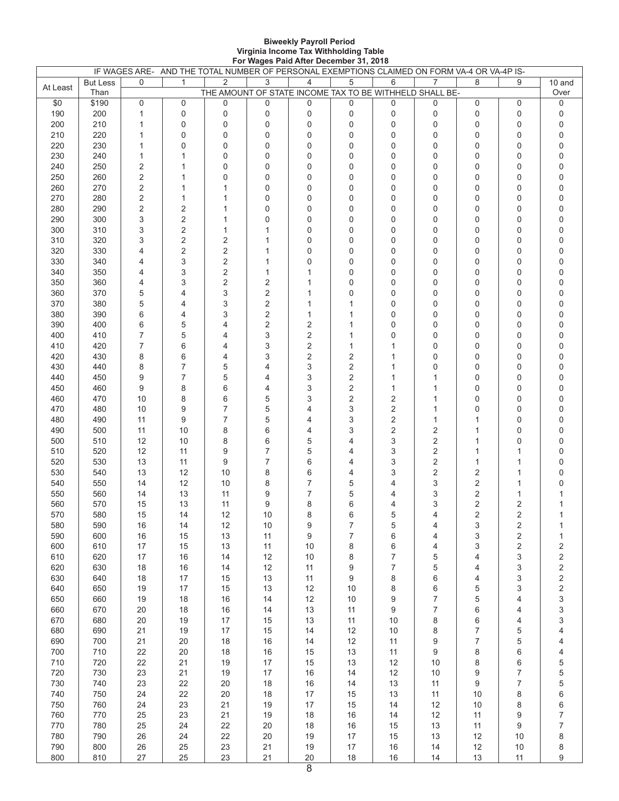#### **Biweekly Payroll Period Virginia Income Tax Withholding Table For Wages Paid After December 31, 2018**

|          |                         |                | IF WAGES ARE- AND THE TOTAL NUMBER OF PERSONAL EXEMPTIONS CLAIMED ON FORM VA-4 OR VA-4P IS- |                                                              |                |              |                |                  |                  |                  |                         |                          |
|----------|-------------------------|----------------|---------------------------------------------------------------------------------------------|--------------------------------------------------------------|----------------|--------------|----------------|------------------|------------------|------------------|-------------------------|--------------------------|
| At Least | <b>But Less</b><br>Than | 0              | $\mathbf{1}$                                                                                | 2<br>THE AMOUNT OF STATE INCOME TAX TO BE WITHHELD SHALL BE- | 3              | 4            | 5              | 6                | $\overline{7}$   | 8                | 9                       | 10 and<br>Over           |
| \$0      | \$190                   | 0              | $\pmb{0}$                                                                                   | 0                                                            | 0              | 0            | 0              | 0                | 0                | $\mathbf 0$      | 0                       | 0                        |
| 190      | 200                     | 1              | $\mathbf 0$                                                                                 | $\boldsymbol{0}$                                             | 0              | 0            | 0              | $\boldsymbol{0}$ | $\mathbf 0$      | $\pmb{0}$        | $\mathbf 0$             | 0                        |
| 200      | 210                     | 1              | $\mathbf 0$                                                                                 | $\mathbf 0$                                                  | 0              | 0            | 0              | $\mathbf 0$      | $\mathbf 0$      | $\mathbf 0$      | $\mathbf 0$             | 0                        |
| 210      | 220                     | 1              | $\mathbf 0$                                                                                 | $\mathbf 0$                                                  | 0              | $\Omega$     | 0              | $\Omega$         | $\Omega$         | $\mathbf 0$      | 0                       | 0                        |
| 220      | 230                     | 1              | $\mathbf 0$                                                                                 | $\mathbf 0$                                                  | 0              | 0            | 0              | $\mathbf 0$      | $\mathbf 0$      | 0                | $\mathbf 0$             | 0                        |
| 230      | 240                     | $\mathbf{1}$   | $\mathbf{1}$                                                                                | 0                                                            | 0              | 0            | 0              | $\mathbf 0$      | 0                | $\mathbf 0$      | $\pmb{0}$               | 0                        |
| 240      | 250                     | $\sqrt{2}$     | $\mathbf{1}$                                                                                | 0                                                            | 0              | 0            | 0              | 0                | $\mathbf 0$      | $\mathbf 0$      | $\mathbf 0$             | 0                        |
| 250      | 260                     | 2              | $\mathbf{1}$                                                                                | 0                                                            | 0              | 0            | 0              | 0                | 0                | $\mathbf 0$      | $\mathbf 0$             | 0                        |
| 260      | 270                     | $\sqrt{2}$     | $\mathbf{1}$                                                                                | $\mathbf{1}$                                                 | 0              | 0            | 0              | 0                | $\mathbf 0$      | 0                | $\mathbf 0$             | 0                        |
| 270      | 280                     | $\sqrt{2}$     | $\mathbf{1}$                                                                                | $\mathbf{1}$                                                 | 0              | 0            | 0              | $\mathbf 0$      | 0                | $\mathbf 0$      | $\mathbf 0$             | 0                        |
| 280      | 290                     | $\overline{2}$ | $\overline{2}$                                                                              | 1                                                            | 0              | 0            | 0              | 0                | $\mathbf 0$      | $\mathbf 0$      | 0                       | 0                        |
| 290      | 300                     | 3              | $\sqrt{2}$                                                                                  | 1                                                            | $\mathbf 0$    | 0            | 0              | $\mathbf 0$      | $\mathbf 0$      | $\mathbf 0$      | $\mathbf 0$             | 0                        |
| 300      | 310                     | 3              | $\sqrt{2}$                                                                                  | 1                                                            | 1              | 0            | 0              | $\mathbf 0$      | 0                | 0                | 0                       | 0                        |
| 310      | 320                     | 3              | $\sqrt{2}$                                                                                  | $\mathbf 2$                                                  | 1              | 0            | 0              | $\mathbf 0$      | 0                | $\mathbf 0$      | 0                       | 0                        |
| 320      | 330                     | 4              | $\sqrt{2}$                                                                                  | $\mathbf 2$                                                  | 1              | 0            | 0              | $\mathbf 0$      | $\mathbf 0$      | $\mathbf 0$      | 0                       | 0                        |
| 330      | 340                     | 4              | 3                                                                                           | 2                                                            | 1              | 0            | 0              | $\mathbf 0$      | $\mathbf 0$      | $\mathbf 0$      | $\mathbf 0$             | 0                        |
| 340      | 350                     | 4              | 3                                                                                           | 2                                                            | 1              | $\mathbf{1}$ | 0              | 0                | $\mathbf 0$      | $\mathbf 0$      | 0                       | 0                        |
|          | 360                     |                | 3                                                                                           |                                                              |                | 1            | 0              |                  | $\mathbf 0$      | $\mathbf 0$      |                         |                          |
| 350      |                         | 4              |                                                                                             | $\mathbf 2$                                                  | 2              |              |                | 0                |                  |                  | $\mathbf 0$             | 0                        |
| 360      | 370                     | 5              | $\overline{4}$                                                                              | 3                                                            | 2              |              | 0              | $\Omega$         | $\mathbf 0$      | $\mathbf 0$      | 0                       | 0                        |
| 370      | 380                     | 5              | 4                                                                                           | 3                                                            | 2              | 1            | 1              | $\mathbf 0$      | $\mathbf 0$      | $\mathbf 0$      | 0                       | 0                        |
| 380      | 390                     | 6              | 4                                                                                           | 3                                                            | $\overline{c}$ | $\mathbf{1}$ | 1              | $\mathbf 0$      | 0                | $\mathbf 0$      | 0                       | 0                        |
| 390      | 400                     | 6              | 5                                                                                           | 4                                                            | $\overline{2}$ | 2            | 1              | 0                | 0                | $\mathbf 0$      | $\mathbf 0$             | 0                        |
| 400      | 410                     | 7              | 5                                                                                           | 4                                                            | 3              | 2            | $\mathbf{1}$   | $\Omega$         | 0                | $\mathbf 0$      | 0                       | 0                        |
| 410      | 420                     | 7              | 6                                                                                           | 4                                                            | 3              | 2            | 1              | 1                | 0                | 0                | $\mathbf 0$             | 0                        |
| 420      | 430                     | 8              | 6                                                                                           | 4                                                            | 3              | 2            | 2              | 1                | 0                | $\mathbf 0$      | 0                       | 0                        |
| 430      | 440                     | 8              | $\overline{7}$                                                                              | 5                                                            | 4              | 3            | $\overline{2}$ | 1                | $\mathbf 0$      | $\mathbf 0$      | $\mathbf 0$             | 0                        |
| 440      | 450                     | 9              | $\overline{7}$                                                                              | 5                                                            | 4              | 3            | 2              | $\mathbf{1}$     | 1                | $\mathbf 0$      | $\mathbf 0$             | 0                        |
| 450      | 460                     | 9              | 8                                                                                           | 6                                                            | 4              | 3            | $\overline{2}$ | $\mathbf{1}$     | 1                | 0                | $\mathbf 0$             | 0                        |
| 460      | 470                     | 10             | 8                                                                                           | 6                                                            | 5              | 3            | 2              | $\mathbf 2$      | 1                | $\mathbf 0$      | $\pmb{0}$               | 0                        |
| 470      | 480                     | 10             | 9                                                                                           | $\overline{7}$                                               | 5              | 4            | 3              | $\mathbf 2$      | 1                | 0                | $\mathbf 0$             | 0                        |
| 480      | 490                     | 11             | 9                                                                                           | $\overline{7}$                                               | 5              | 4            | 3              | $\overline{2}$   | 1                | 1                | $\mathbf 0$             | 0                        |
| 490      | 500                     | 11             | 10                                                                                          | 8                                                            | 6              | 4            | 3              | $\overline{2}$   | 2                | 1                | $\mathbf 0$             | 0                        |
| 500      | 510                     | 12             | 10                                                                                          | 8                                                            | 6              | 5            | 4              | 3                | $\sqrt{2}$       | 1                | 0                       | 0                        |
| 510      | 520                     | 12             | 11                                                                                          | 9                                                            | 7              | 5            | 4              | 3                | $\sqrt{2}$       | 1                | 1                       | 0                        |
| 520      | 530                     | 13             | 11                                                                                          | 9                                                            | 7              | 6            | 4              | 3                | $\sqrt{2}$       | 1                | 1                       | 0                        |
| 530      | 540                     | 13             | 12                                                                                          | 10                                                           | 8              | 6            | 4              | 3                | $\boldsymbol{2}$ | $\overline{c}$   | 1                       | 0                        |
| 540      | 550                     | 14             | 12                                                                                          | 10                                                           | 8              | 7            | 5              | 4                | 3                | 2                | 1                       | $\mathsf 0$              |
| 550      | 560                     | 14             | 13                                                                                          | 11                                                           | 9              | 7            | 5              | 4                | 3                | 2                | 1                       | 1                        |
| 560      | 570                     | 15             | 13                                                                                          | 11                                                           | 9              | 8            | 6              | 4                | 3                | $\sqrt{2}$       | 2                       | $\mathbf{1}$             |
| 570      | 580                     | 15             | 14                                                                                          | 12                                                           | 10             | 8            | 6              | 5                | 4                | $\overline{2}$   | $\overline{2}$          | $\mathbf{1}$             |
| 580      | 590                     | 16             | 14                                                                                          | 12                                                           | 10             | 9            | 7              | 5                | 4                | 3                | $\overline{\mathbf{c}}$ | 1                        |
| 590      | 600                     | 16             | 15                                                                                          | 13                                                           | 11             | 9            | 7              | 6                | 4                | 3                | $\overline{\mathbf{c}}$ | $\mathbf 1$              |
| 600      | 610                     | 17             | 15                                                                                          | 13                                                           | 11             | 10           | 8              | 6                | 4                | 3                | $\overline{\mathbf{c}}$ | $\overline{\mathbf{c}}$  |
| 610      | 620                     | 17             | 16                                                                                          | 14                                                           | 12             | 10           | 8              | 7                | 5                | 4                | 3                       | $\overline{c}$           |
| 620      | 630                     | 18             | 16                                                                                          | 14                                                           | 12             | 11           | 9              | 7                | 5                | 4                | 3                       | $\overline{\mathbf{c}}$  |
| 630      | 640                     | 18             | 17                                                                                          | 15                                                           | 13             | 11           | 9              | 8                | 6                | 4                | 3                       |                          |
| 640      | 650                     | 19             | 17                                                                                          | 15                                                           | 13             | 12           | 10             | 8                | 6                | 5                | 3                       | $\frac{2}{2}$            |
| 650      | 660                     | 19             | 18                                                                                          | 16                                                           | 14             | 12           | $10$           | 9                | $\overline{7}$   | 5                | 4                       | 3                        |
| 660      | 670                     | 20             | 18                                                                                          | 16                                                           | 14             | 13           | 11             | 9                | $\overline{7}$   | 6                | 4                       | 3                        |
| 670      | 680                     | 20             | 19                                                                                          | 17                                                           | 15             | 13           | 11             | 10               | 8                | 6                | 4                       | 3                        |
| 680      | 690                     | 21             | 19                                                                                          | 17                                                           | 15             | 14           | 12             | $10$             | 8                | $\boldsymbol{7}$ | 5                       | $\overline{\mathcal{L}}$ |
| 690      | 700                     | 21             | 20                                                                                          | 18                                                           | 16             | 14           | 12             | 11               | 9                | $\overline{7}$   | 5                       | 4                        |
| 700      | 710                     | 22             | 20                                                                                          | 18                                                           | 16             | 15           | 13             | 11               | 9                | 8                | 6                       | 4                        |
| 710      | 720                     | 22             | 21                                                                                          | 19                                                           | 17             | 15           | 13             | 12               | 10               | 8                | 6                       |                          |
| 720      | 730                     | 23             | 21                                                                                          | 19                                                           | 17             | $16$         | 14             | 12               | 10               | 9                | 7                       | $\frac{5}{5}$            |
| 730      | 740                     | 23             | 22                                                                                          | 20                                                           | 18             | $16$         | 14             | 13               | 11               | 9                | $\overline{7}$          |                          |
|          |                         |                |                                                                                             |                                                              |                |              |                |                  |                  |                  |                         | 5                        |
| 740      | 750                     | 24             | 22                                                                                          | 20                                                           | 18             | $17$         | 15             | 13               | 11               | 10               | 8                       | 6                        |
| 750      | 760                     | 24             | 23                                                                                          | 21                                                           | 19             | $17$         | 15             | 14               | 12               | 10               | 8                       | 6                        |
| 760      | 770                     | 25             | 23                                                                                          | 21                                                           | 19             | 18           | 16             | 14               | 12               | 11               | 9                       | $\overline{7}$           |
| 770      | 780                     | 25             | 24                                                                                          | 22                                                           | 20             | 18           | 16             | 15               | 13               | 11               | 9                       | $\boldsymbol{7}$         |
| 780      | 790                     | 26             | 24                                                                                          | 22                                                           | 20             | 19           | 17             | 15               | 13               | 12               | 10                      | 8                        |
| 790      | 800                     | 26             | 25                                                                                          | 23                                                           | 21             | 19           | $17$           | 16               | 14               | $12$             | $10$                    | 8                        |
| 800      | 810                     | 27             | 25                                                                                          | 23                                                           | 21             | 20           | $18$           | 16               | 14               | 13               | 11                      | 9                        |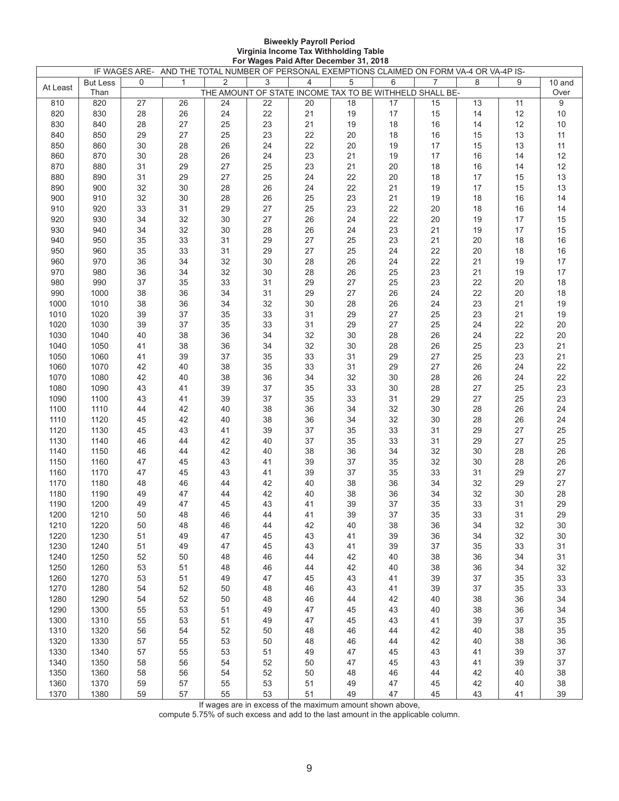#### **Biweekly Payroll Period Virginia Income Tax Withholding Table For Wages Paid After December 31, 2018**

|          |                 |    | IF WAGES ARE- AND THE TOTAL NUMBER OF PERSONAL EXEMPTIONS CLAIMED ON FORM VA-4 OR VA-4P IS- |                                                         |    |                |    |    |                |    |    |        |
|----------|-----------------|----|---------------------------------------------------------------------------------------------|---------------------------------------------------------|----|----------------|----|----|----------------|----|----|--------|
| At Least | <b>But Less</b> | 0  | $\mathbf{1}$                                                                                | 2                                                       | 3  | $\overline{4}$ | 5  | 6  | $\overline{7}$ | 8  | 9  | 10 and |
|          | Than            |    |                                                                                             | THE AMOUNT OF STATE INCOME TAX TO BE WITHHELD SHALL BE- |    |                |    |    |                |    |    | Over   |
| 810      | 820             | 27 | 26                                                                                          | 24                                                      | 22 | 20             | 18 | 17 | 15             | 13 | 11 | 9      |
| 820      | 830             | 28 | 26                                                                                          | 24                                                      | 22 | 21             | 19 | 17 | 15             | 14 | 12 | $10$   |
| 830      | 840             | 28 | 27                                                                                          | 25                                                      | 23 | 21             | 19 | 18 | 16             | 14 | 12 | 10     |
| 840      | 850             | 29 | 27                                                                                          | 25                                                      | 23 | 22             | 20 | 18 | 16             | 15 | 13 | 11     |
| 850      | 860             | 30 | 28                                                                                          | 26                                                      | 24 | 22             | 20 | 19 | 17             | 15 | 13 | 11     |
| 860      | 870             | 30 | 28                                                                                          | 26                                                      | 24 | 23             | 21 | 19 | 17             | 16 | 14 | 12     |
| 870      | 880             | 31 | 29                                                                                          | 27                                                      | 25 | 23             | 21 | 20 | 18             | 16 | 14 | 12     |
| 880      | 890             | 31 | 29                                                                                          | 27                                                      | 25 | 24             | 22 | 20 | 18             | 17 | 15 | 13     |
| 890      | 900             | 32 | 30                                                                                          | 28                                                      | 26 | 24             | 22 | 21 | 19             | 17 | 15 | 13     |
|          |                 |    |                                                                                             |                                                         |    |                |    |    |                |    |    |        |
| 900      | 910             | 32 | 30                                                                                          | 28                                                      | 26 | 25             | 23 | 21 | 19             | 18 | 16 | 14     |
| 910      | 920             | 33 | 31                                                                                          | 29                                                      | 27 | 25             | 23 | 22 | 20             | 18 | 16 | 14     |
| 920      | 930             | 34 | 32                                                                                          | 30                                                      | 27 | 26             | 24 | 22 | 20             | 19 | 17 | 15     |
| 930      | 940             | 34 | 32                                                                                          | 30                                                      | 28 | 26             | 24 | 23 | 21             | 19 | 17 | 15     |
| 940      | 950             | 35 | 33                                                                                          | 31                                                      | 29 | 27             | 25 | 23 | 21             | 20 | 18 | $16\,$ |
| 950      | 960             | 35 | 33                                                                                          | 31                                                      | 29 | 27             | 25 | 24 | 22             | 20 | 18 | $16$   |
| 960      | 970             | 36 | 34                                                                                          | 32                                                      | 30 | 28             | 26 | 24 | 22             | 21 | 19 | 17     |
| 970      | 980             | 36 | 34                                                                                          | 32                                                      | 30 | 28             | 26 | 25 | 23             | 21 | 19 | 17     |
| 980      | 990             | 37 | 35                                                                                          | 33                                                      | 31 | 29             | 27 | 25 | 23             | 22 | 20 | 18     |
| 990      | 1000            | 38 | 36                                                                                          | 34                                                      | 31 | 29             | 27 | 26 | 24             | 22 | 20 | $18$   |
| 1000     | 1010            | 38 | 36                                                                                          | 34                                                      | 32 | 30             | 28 | 26 | 24             | 23 | 21 | $19$   |
| 1010     | 1020            | 39 | 37                                                                                          | 35                                                      | 33 | 31             | 29 | 27 | 25             | 23 | 21 | $19$   |
| 1020     | 1030            | 39 | 37                                                                                          | 35                                                      | 33 | 31             | 29 | 27 | 25             | 24 | 22 | $20\,$ |
| 1030     | 1040            | 40 | 38                                                                                          | 36                                                      | 34 | 32             | 30 | 28 | 26             | 24 | 22 | $20\,$ |
| 1040     | 1050            | 41 | 38                                                                                          | 36                                                      | 34 | 32             | 30 | 28 | 26             | 25 | 23 | 21     |
|          |                 |    |                                                                                             |                                                         |    |                |    |    |                |    |    |        |
| 1050     | 1060            | 41 | 39                                                                                          | 37                                                      | 35 | 33             | 31 | 29 | 27             | 25 | 23 | 21     |
| 1060     | 1070            | 42 | 40                                                                                          | 38                                                      | 35 | 33             | 31 | 29 | 27             | 26 | 24 | 22     |
| 1070     | 1080            | 42 | 40                                                                                          | 38                                                      | 36 | 34             | 32 | 30 | 28             | 26 | 24 | 22     |
| 1080     | 1090            | 43 | 41                                                                                          | 39                                                      | 37 | 35             | 33 | 30 | 28             | 27 | 25 | 23     |
| 1090     | 1100            | 43 | 41                                                                                          | 39                                                      | 37 | 35             | 33 | 31 | 29             | 27 | 25 | 23     |
| 1100     | 1110            | 44 | 42                                                                                          | 40                                                      | 38 | 36             | 34 | 32 | 30             | 28 | 26 | 24     |
| 1110     | 1120            | 45 | 42                                                                                          | 40                                                      | 38 | 36             | 34 | 32 | 30             | 28 | 26 | 24     |
| 1120     | 1130            | 45 | 43                                                                                          | 41                                                      | 39 | 37             | 35 | 33 | 31             | 29 | 27 | 25     |
| 1130     | 1140            | 46 | 44                                                                                          | 42                                                      | 40 | 37             | 35 | 33 | 31             | 29 | 27 | 25     |
| 1140     | 1150            | 46 | 44                                                                                          | 42                                                      | 40 | 38             | 36 | 34 | 32             | 30 | 28 | $26\,$ |
| 1150     | 1160            | 47 | 45                                                                                          | 43                                                      | 41 | 39             | 37 | 35 | 32             | 30 | 28 | 26     |
| 1160     | 1170            | 47 | 45                                                                                          | 43                                                      | 41 | 39             | 37 | 35 | 33             | 31 | 29 | 27     |
| 1170     | 1180            | 48 | 46                                                                                          | 44                                                      | 42 | 40             | 38 | 36 | 34             | 32 | 29 | 27     |
| 1180     | 1190            | 49 | 47                                                                                          | 44                                                      | 42 | 40             | 38 | 36 | 34             | 32 | 30 | 28     |
| 1190     | 1200            | 49 | 47                                                                                          | 45                                                      | 43 | 41             | 39 | 37 | 35             | 33 | 31 | 29     |
|          |                 |    |                                                                                             |                                                         |    |                |    |    |                |    |    |        |
| 1200     | 1210            | 50 | 48                                                                                          | 46                                                      | 44 | 41             | 39 | 37 | 35             | 33 | 31 | 29     |
| 1210     | 1220            | 50 | 48                                                                                          | 46                                                      | 44 | 42             | 40 | 38 | 36             | 34 | 32 | 30     |
| 1220     | 1230            | 51 | 49                                                                                          | 47                                                      | 45 | 43             | 41 | 39 | 36             | 34 | 32 | 30     |
| 1230     | 1240            | 51 | 49                                                                                          | 47                                                      | 45 | 43             | 41 | 39 | 37             | 35 | 33 | 31     |
| 1240     | 1250            | 52 | 50                                                                                          | 48                                                      | 46 | 44             | 42 | 40 | 38             | 36 | 34 | 31     |
| 1250     | 1260            | 53 | 51                                                                                          | 48                                                      | 46 | 44             | 42 | 40 | 38             | 36 | 34 | 32     |
| 1260     | 1270            | 53 | 51                                                                                          | 49                                                      | 47 | 45             | 43 | 41 | 39             | 37 | 35 | 33     |
| 1270     | 1280            | 54 | 52                                                                                          | 50                                                      | 48 | 46             | 43 | 41 | 39             | 37 | 35 | 33     |
| 1280     | 1290            | 54 | 52                                                                                          | 50                                                      | 48 | 46             | 44 | 42 | 40             | 38 | 36 | 34     |
| 1290     | 1300            | 55 | 53                                                                                          | 51                                                      | 49 | 47             | 45 | 43 | 40             | 38 | 36 | 34     |
| 1300     | 1310            | 55 | 53                                                                                          | 51                                                      | 49 | 47             | 45 | 43 | 41             | 39 | 37 | 35     |
| 1310     | 1320            | 56 | 54                                                                                          | 52                                                      | 50 | 48             | 46 | 44 | 42             | 40 | 38 | 35     |
| 1320     | 1330            | 57 | 55                                                                                          | 53                                                      | 50 | 48             | 46 | 44 | 42             | 40 | 38 | 36     |
| 1330     |                 |    | 55                                                                                          | 53                                                      |    | 49             | 47 | 45 | 43             |    |    | 37     |
|          | 1340            | 57 |                                                                                             |                                                         | 51 |                |    |    |                | 41 | 39 |        |
| 1340     | 1350            | 58 | 56                                                                                          | 54                                                      | 52 | 50             | 47 | 45 | 43             | 41 | 39 | 37     |
| 1350     | 1360            | 58 | 56                                                                                          | 54                                                      | 52 | 50             | 48 | 46 | 44             | 42 | 40 | 38     |
| 1360     | 1370            | 59 | 57                                                                                          | 55                                                      | 53 | 51             | 49 | 47 | 45             | 42 | 40 | 38     |
| 1370     | 1380            | 59 | 57                                                                                          | 55                                                      | 53 | 51             | 49 | 47 | 45             | 43 | 41 | 39     |

If wages are in excess of the maximum amount shown above,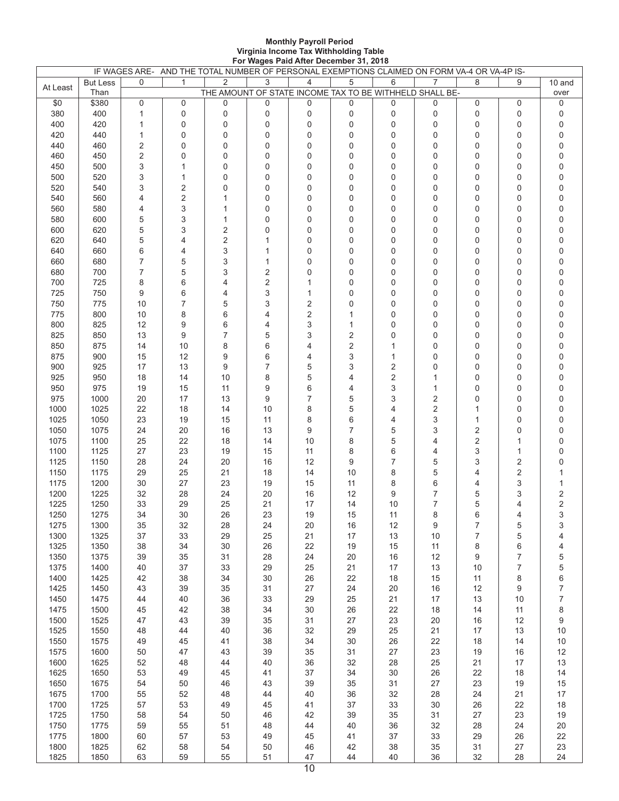#### **Monthly Payroll Period Virginia Income Tax Withholding Table For Wages Paid After December 31, 2018**

|          |                         |            | IF WAGES ARE- AND THE TOTAL NUMBER OF PERSONAL EXEMPTIONS CLAIMED ON FORM VA-4 OR VA-4P IS- |                                                              |                  |                |                |             |                |                |                |                |
|----------|-------------------------|------------|---------------------------------------------------------------------------------------------|--------------------------------------------------------------|------------------|----------------|----------------|-------------|----------------|----------------|----------------|----------------|
| At Least | <b>But Less</b><br>Than | 0          | $\mathbf{1}$                                                                                | 2<br>THE AMOUNT OF STATE INCOME TAX TO BE WITHHELD SHALL BE- | 3                | $\overline{4}$ | 5              | 6           | 7              | 8              | 9              | 10 and<br>over |
| \$0      | \$380                   | 0          | 0                                                                                           | 0                                                            | 0                | 0              | 0              | 0           | 0              | 0              | 0              | 0              |
| 380      | 400                     | 1          | $\mathbf 0$                                                                                 | $\mathbf 0$                                                  | $\pmb{0}$        | $\pmb{0}$      | 0              | 0           | 0              | 0              | 0              | 0              |
| 400      | 420                     | 1          | $\mathbf 0$                                                                                 | 0                                                            | $\mathbf 0$      | 0              | $\mathbf 0$    | $\mathbf 0$ | 0              | 0              | 0              | 0              |
| 420      | 440                     | 1          | $\mathbf 0$                                                                                 | 0                                                            | $\mathbf 0$      | 0              | $\mathbf 0$    | 0           | 0              | $\overline{0}$ | 0              | 0              |
| 440      | 460                     | 2          | 0                                                                                           | 0                                                            | $\pmb{0}$        | 0              | 0              | 0           | 0              | 0              | 0              | 0              |
| 460      |                         |            | $\mathbf 0$                                                                                 | 0                                                            | $\pmb{0}$        | 0              | $\mathbf 0$    | 0           | 0              | 0              | 0              | 0              |
|          | 450                     | $\sqrt{2}$ |                                                                                             |                                                              |                  |                |                |             |                |                |                |                |
| 450      | 500                     | 3          | $\mathbf{1}$                                                                                | 0                                                            | 0                | 0              | $\mathbf 0$    | 0           | 0              | 0              | 0              | 0              |
| 500      | 520                     | 3          | $\mathbf{1}$                                                                                | 0                                                            | $\mathbf 0$      | 0              | $\mathbf 0$    | 0           | 0              | 0              | 0              | 0              |
| 520      | 540                     | 3          | $\overline{2}$                                                                              | 0                                                            | $\pmb{0}$        | 0              | 0              | 0           | 0              | 0              | 0              | 0              |
| 540      | 560                     | 4          | $\overline{2}$                                                                              | $\mathbf{1}$                                                 | $\pmb{0}$        | 0              | $\mathbf 0$    | 0           | 0              | $\overline{0}$ | 0              | 0              |
| 560      | 580                     | 4          | 3                                                                                           | $\mathbf{1}$                                                 | $\pmb{0}$        | 0              | 0              | 0           | 0              | 0              | 0              | 0              |
| 580      | 600                     | 5          | 3                                                                                           | $\mathbf{1}$                                                 | $\pmb{0}$        | 0              | $\mathbf 0$    | 0           | 0              | 0              | 0              | $\mathbf 0$    |
| 600      | 620                     | 5          | 3                                                                                           | $\sqrt{2}$                                                   | 0                | 0              | 0              | 0           | 0              | $\mathbf 0$    | 0              | 0              |
| 620      | 640                     | 5          | $\overline{4}$                                                                              | $\overline{2}$                                               | $\mathbf{1}$     | 0              | $\mathbf 0$    | 0           | $\overline{0}$ | $\overline{0}$ | 0              | $\mathbf 0$    |
| 640      | 660                     | 6          | $\overline{4}$                                                                              | 3                                                            | $\mathbf 1$      | 0              | 0              | 0           | 0              | 0              | 0              | 0              |
| 660      | 680                     | 7          | 5                                                                                           | 3                                                            | $\mathbf{1}$     | 0              | $\mathbf 0$    | 0           | 0              | 0              | 0              | 0              |
| 680      | 700                     | 7          | 5                                                                                           | 3                                                            | $\sqrt{2}$       | 0              | $\mathbf 0$    | 0           | 0              | 0              | 0              | 0              |
| 700      | 725                     |            |                                                                                             |                                                              |                  |                | $\mathbf 0$    |             | 0              | $\overline{0}$ |                |                |
|          |                         | 8          | 6                                                                                           | 4                                                            | $\sqrt{2}$       | $\mathbf{1}$   |                | 0           |                |                | 0              | 0              |
| 725      | 750                     | 9          | 6                                                                                           | 4                                                            | 3                | 1              | $\mathbf 0$    | 0           | 0              | 0              | 0              | $\mathbf 0$    |
| 750      | 775                     | 10         | 7                                                                                           | 5                                                            | 3                | 2              | $\mathbf 0$    | 0           | 0              | 0              | 0              | 0              |
| 775      | 800                     | 10         | 8                                                                                           | 6                                                            | $\overline{4}$   | $\sqrt{2}$     | 1              | 0           | 0              | 0              | 0              | 0              |
| 800      | 825                     | 12         | 9                                                                                           | 6                                                            | 4                | 3              | 1              | 0           | 0              | 0              | 0              | 0              |
| 825      | 850                     | 13         | 9                                                                                           | $\overline{7}$                                               | 5                | 3              | 2              | 0           | 0              | 0              | 0              | $\mathbf 0$    |
| 850      | 875                     | 14         | 10                                                                                          | 8                                                            | 6                | 4              | $\overline{2}$ | 1           | 0              | 0              | 0              | 0              |
| 875      | 900                     | 15         | 12                                                                                          | 9                                                            | 6                | 4              | 3              | 1           | $\overline{0}$ | 0              | 0              | 0              |
| 900      | 925                     | 17         | 13                                                                                          | 9                                                            | $\overline{7}$   | 5              | 3              | 2           | 0              | 0              | 0              | 0              |
| 925      | 950                     | 18         | 14                                                                                          | 10                                                           | 8                | 5              | 4              | 2           | 1              | 0              | 0              | $\mathbf 0$    |
| 950      | 975                     | 19         | 15                                                                                          | 11                                                           | $\boldsymbol{9}$ | 6              | 4              | 3           | 1              | 0              | 0              | 0              |
| 975      | 1000                    | 20         | 17                                                                                          | 13                                                           | 9                | $\overline{7}$ | 5              | 3           | 2              | 0              | 0              | 0              |
| 1000     | 1025                    | 22         | 18                                                                                          | 14                                                           | 10               | 8              | 5              | 4           | 2              | 1              | 0              | 0              |
|          |                         |            |                                                                                             | 15                                                           | 11               |                | 6              |             |                |                |                |                |
| 1025     | 1050                    | 23         | 19                                                                                          |                                                              |                  | 8              |                | 4           | 3              | 1              | 0              | 0              |
| 1050     | 1075                    | 24         | 20                                                                                          | 16                                                           | 13               | 9              | 7              | 5           | 3              | 2              | 0              | 0              |
| 1075     | 1100                    | 25         | 22                                                                                          | 18                                                           | 14               | 10             | 8              | 5           | 4              | 2              | 1              | $\mathbf 0$    |
| 1100     | 1125                    | 27         | 23                                                                                          | 19                                                           | 15               | 11             | 8              | 6           | 4              | 3              | 1              | 0              |
| 1125     | 1150                    | 28         | 24                                                                                          | 20                                                           | 16               | 12             | 9              | 7           | 5              | 3              | 2              | $\mathbf 0$    |
| 1150     | 1175                    | 29         | 25                                                                                          | 21                                                           | 18               | 14             | 10             | 8           | 5              | 4              | $\overline{2}$ | 1              |
| 1175     | 1200                    | 30         | 27                                                                                          | 23                                                           | 19               | 15             | 11             | 8           | 6              | 4              | 3              | $\mathbf{1}$   |
| 1200     | 1225                    | 32         | 28                                                                                          | 24                                                           | 20               | 16             | 12             | 9           | 7              | 5              | 3              | $\sqrt{2}$     |
| 1225     | 1250                    | 33         | 29                                                                                          | 25                                                           | 21               | 17             | 14             | 10          | 7              | 5              | 4              | $\mathbf 2$    |
| 1250     | 1275                    | 34         | 30                                                                                          | 26                                                           | 23               | 19             | 15             | 11          | 8              | 6              | 4              | 3              |
| 1275     | 1300                    | 35         | 32                                                                                          | 28                                                           | 24               | 20             | 16             | 12          | 9              | 7              | 5              | 3              |
| 1300     | 1325                    | 37         | 33                                                                                          | 29                                                           | 25               | 21             | 17             | 13          | 10             | 7              | 5              | 4              |
| 1325     | 1350                    | 38         | 34                                                                                          | 30                                                           | 26               | 22             | 19             | 15          | 11             | 8              | 6              | 4              |
| 1350     | 1375                    | 39         | 35                                                                                          | 31                                                           | 28               | 24             | 20             | $16\,$      | 12             | 9              | $\overline{7}$ | 5              |
| 1375     | 1400                    | 40         | 37                                                                                          | 33                                                           | 29               | 25             | 21             | 17          | 13             | 10             | 7              | 5              |
| 1400     | 1425                    |            | 38                                                                                          | 34                                                           | 30               | 26             | 22             | $18$        |                | 11             |                | 6              |
|          |                         | 42         |                                                                                             |                                                              |                  |                |                |             | 15             |                | 8              |                |
| 1425     | 1450                    | 43         | 39                                                                                          | 35                                                           | 31               | 27             | 24             | 20          | 16             | 12             | 9              | $\overline{7}$ |
| 1450     | 1475                    | 44         | 40                                                                                          | 36                                                           | 33               | 29             | 25             | 21          | 17             | 13             | 10             | $\overline{7}$ |
| 1475     | 1500                    | 45         | 42                                                                                          | 38                                                           | 34               | 30             | 26             | 22          | 18             | 14             | 11             | 8              |
| 1500     | 1525                    | 47         | 43                                                                                          | 39                                                           | 35               | 31             | 27             | 23          | 20             | 16             | 12             | 9              |
| 1525     | 1550                    | 48         | 44                                                                                          | 40                                                           | 36               | 32             | 29             | 25          | 21             | $17$           | 13             | 10             |
| 1550     | 1575                    | 49         | 45                                                                                          | 41                                                           | 38               | 34             | 30             | 26          | 22             | 18             | 14             | 10             |
| 1575     | 1600                    | 50         | 47                                                                                          | 43                                                           | 39               | 35             | 31             | 27          | 23             | 19             | 16             | 12             |
| 1600     | 1625                    | 52         | 48                                                                                          | 44                                                           | 40               | 36             | 32             | 28          | 25             | 21             | 17             | 13             |
| 1625     | 1650                    | 53         | 49                                                                                          | 45                                                           | 41               | 37             | 34             | $30\,$      | 26             | 22             | 18             | 14             |
| 1650     | 1675                    | 54         | 50                                                                                          | 46                                                           | 43               | 39             | 35             | 31          | 27             | 23             | 19             | 15             |
| 1675     | 1700                    | 55         | 52                                                                                          | 48                                                           | 44               | 40             | 36             | 32          | 28             | 24             | 21             | 17             |
| 1700     | 1725                    | 57         | 53                                                                                          | 49                                                           | 45               | 41             | 37             | 33          | 30             | 26             | 22             | 18             |
| 1725     | 1750                    | 58         | 54                                                                                          | 50                                                           | 46               | 42             | 39             | 35          | 31             | 27             | 23             | 19             |
| 1750     | 1775                    | 59         | 55                                                                                          | 51                                                           | 48               | 44             | 40             | 36          | 32             | 28             | 24             | 20             |
|          |                         |            |                                                                                             |                                                              |                  |                |                |             |                |                |                |                |
| 1775     | 1800                    | 60         | 57                                                                                          | 53                                                           | 49               | 45             | 41             | 37          | 33             | 29             | 26             | 22             |
| 1800     | 1825                    | 62         | 58                                                                                          | 54                                                           | 50               | 46             | 42             | 38          | 35             | 31             | 27             | 23             |
| 1825     | 1850                    | 63         | 59                                                                                          | 55                                                           | 51               | 47             | 44             | 40          | 36             | 32             | 28             | 24             |